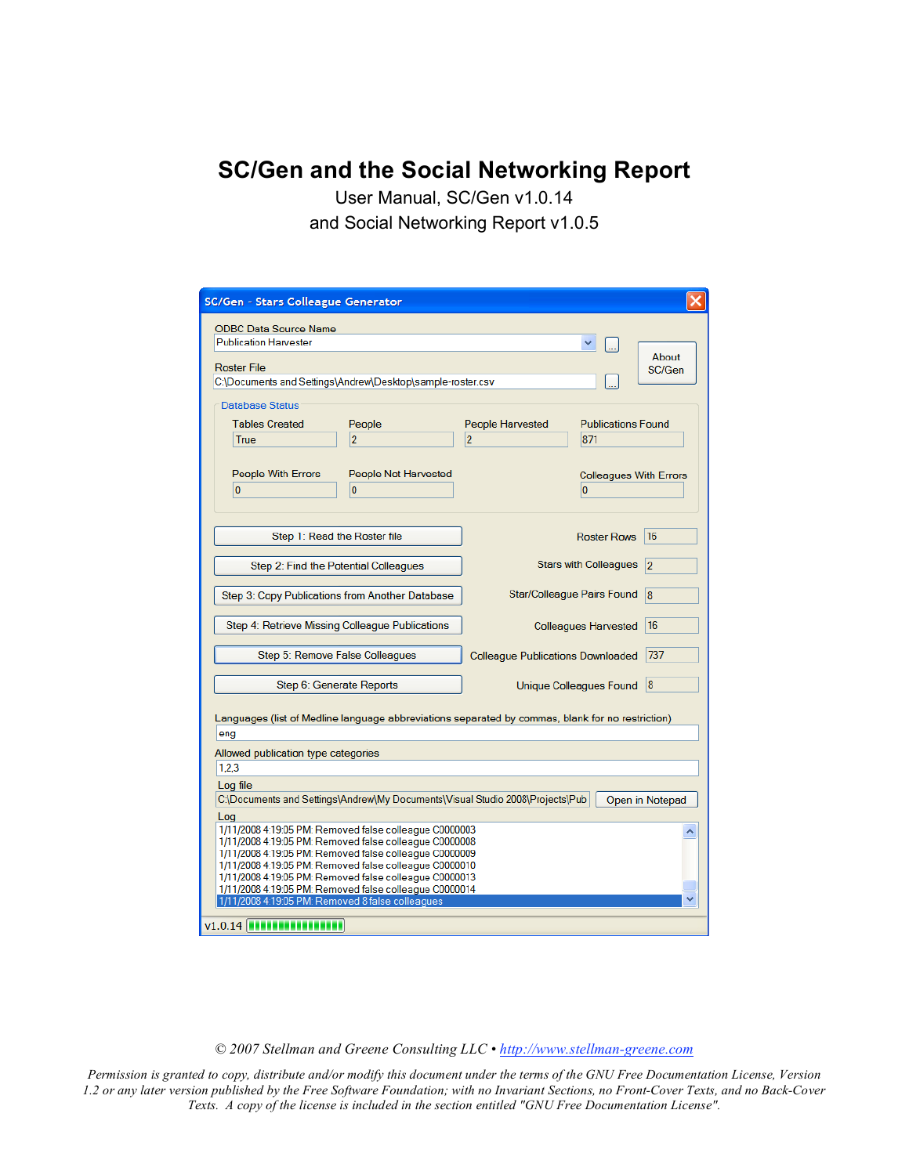**SC/Gen and the Social Networking Report**

User Manual, SC/Gen v1.0.14 and Social Networking Report v1.0.5

| SC/Gen - Stars Colleague Generator                                                                                                                                                                                                                                                                                                                                                                                       |                                                  |                               |  |  |
|--------------------------------------------------------------------------------------------------------------------------------------------------------------------------------------------------------------------------------------------------------------------------------------------------------------------------------------------------------------------------------------------------------------------------|--------------------------------------------------|-------------------------------|--|--|
| <b>ODBC Data Source Name</b><br><b>Publication Harvester</b><br><b>Roster File</b><br>C:\Documents and Settings\Andrew\Desktop\sample-roster.csv<br><b>Database Status</b>                                                                                                                                                                                                                                               |                                                  | About<br>SC/Gen               |  |  |
| <b>Tables Created</b><br>People<br>$\overline{2}$<br>True                                                                                                                                                                                                                                                                                                                                                                | <b>People Harvested</b><br>$\overline{2}$<br>871 | <b>Publications Found</b>     |  |  |
| People With Errors<br>People Not Harvested<br>$\overline{0}$<br>$\overline{0}$                                                                                                                                                                                                                                                                                                                                           | 0                                                | <b>Colleagues With Errors</b> |  |  |
| Step 1: Read the Roster file                                                                                                                                                                                                                                                                                                                                                                                             | <b>Roster Rows</b>                               | 16                            |  |  |
| Step 2: Find the Potential Colleagues                                                                                                                                                                                                                                                                                                                                                                                    | <b>Stars with Colleagues</b>                     | 2                             |  |  |
| Step 3: Copy Publications from Another Database                                                                                                                                                                                                                                                                                                                                                                          | Star/Colleague Pairs Found                       | 8                             |  |  |
| Step 4: Retrieve Missing Colleague Publications                                                                                                                                                                                                                                                                                                                                                                          | <b>Colleagues Harvested</b>                      | 16                            |  |  |
| Step 5: Remove False Colleagues                                                                                                                                                                                                                                                                                                                                                                                          | <b>Colleague Publications Downloaded</b>         | 737                           |  |  |
| Step 6: Generate Reports                                                                                                                                                                                                                                                                                                                                                                                                 | Unique Colleagues Found                          | 8                             |  |  |
| Languages (list of Medline language abbreviations separated by commas, blank for no restriction)<br>eng                                                                                                                                                                                                                                                                                                                  |                                                  |                               |  |  |
| Allowed publication type categories                                                                                                                                                                                                                                                                                                                                                                                      |                                                  |                               |  |  |
| 1.2.3<br>Log file                                                                                                                                                                                                                                                                                                                                                                                                        |                                                  |                               |  |  |
| C:\Documents and Settings\Andrew\My Documents\Visual Studio 2008\Projects\Pub<br>Open in Notepad                                                                                                                                                                                                                                                                                                                         |                                                  |                               |  |  |
| Log<br>1/11/2008 4:19:05 PM: Removed false colleague C0000003<br>۸<br>1/11/2008 4:19:05 PM: Removed false colleague C0000008<br>1/11/2008 4:19:05 PM: Removed false colleague C0000009<br>1/11/2008 4:19:05 PM: Removed false colleague C0000010<br>1/11/2008 4:19:05 PM: Removed false colleague C0000013<br>1/11/2008 4:19:05 PM: Removed false colleague C0000014<br>1/11/2008 4:19:05 PM: Removed 8 false colleagues |                                                  |                               |  |  |
| $v1.0.14$ <b>Experimental</b>                                                                                                                                                                                                                                                                                                                                                                                            |                                                  |                               |  |  |

*© 2007 Stellman and Greene Consulting LLC • http://www.stellman-greene.com*

*Permission is granted to copy, distribute and/or modify this document under the terms of the GNU Free Documentation License, Version 1.2 or any later version published by the Free Software Foundation; with no Invariant Sections, no Front-Cover Texts, and no Back-Cover Texts. A copy of the license is included in the section entitled "GNU Free Documentation License".*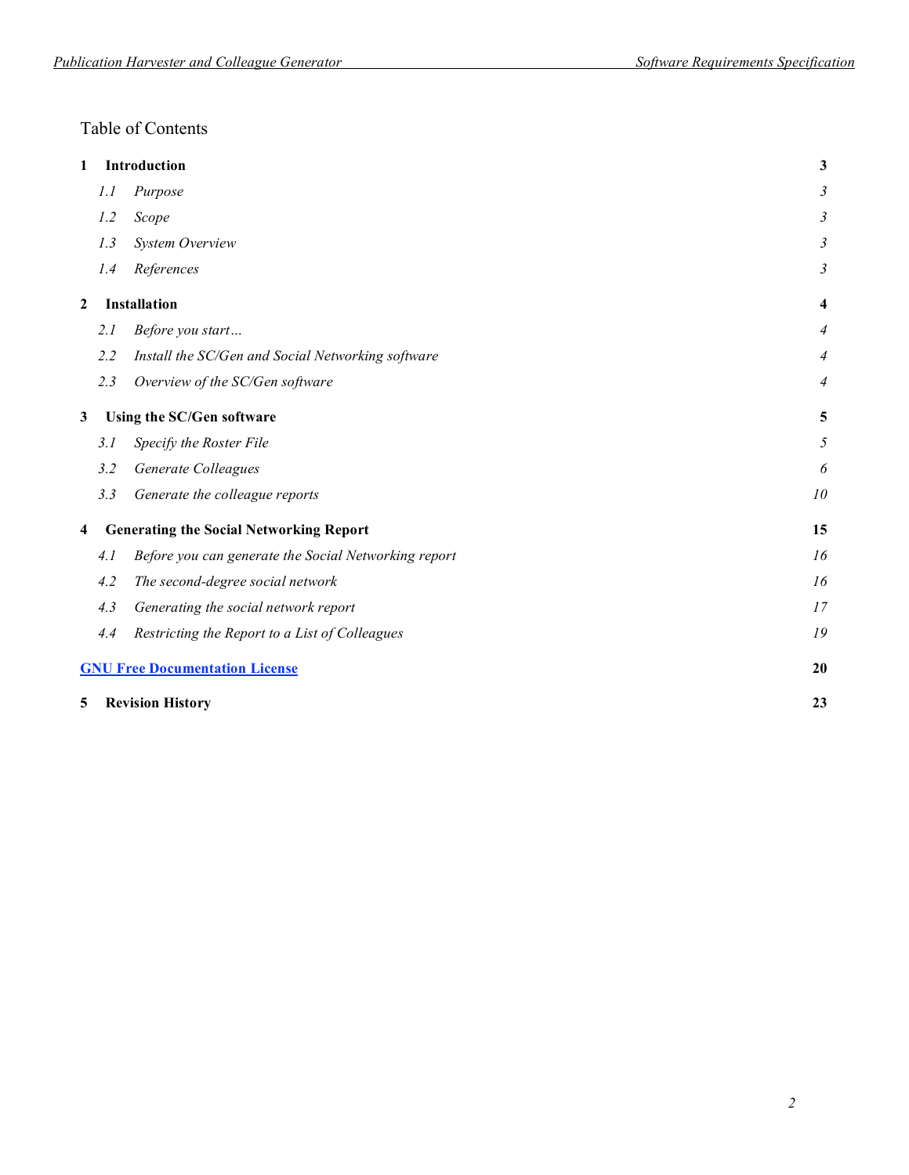### Table of Contents

| 1                       |     | <b>Introduction</b>                                  | $\mathbf{3}$     |
|-------------------------|-----|------------------------------------------------------|------------------|
|                         | 1.1 | Purpose                                              | 3                |
|                         | 1.2 | Scope                                                | 3                |
|                         | 1.3 | System Overview                                      | 3                |
|                         | 1.4 | References                                           | 3                |
| $\boldsymbol{2}$        |     | <b>Installation</b>                                  | $\boldsymbol{4}$ |
|                         | 2.1 | Before you start                                     | 4                |
|                         | 2.2 | Install the SC/Gen and Social Networking software    | 4                |
|                         | 2.3 | Overview of the SC/Gen software                      | 4                |
| 3                       |     | Using the SC/Gen software                            | 5                |
|                         | 3.1 | Specify the Roster File                              | 5                |
|                         | 3.2 | Generate Colleagues                                  | 6                |
|                         | 3.3 | Generate the colleague reports                       | 10               |
| $\overline{\mathbf{4}}$ |     | <b>Generating the Social Networking Report</b>       | 15               |
|                         | 4.1 | Before you can generate the Social Networking report | 16               |
|                         | 4.2 | The second-degree social network                     | 16               |
|                         | 4.3 | Generating the social network report                 | 17               |
|                         | 4.4 | Restricting the Report to a List of Colleagues       | 19               |
|                         |     | <b>GNU Free Documentation License</b>                | 20               |
| 5                       |     | <b>Revision History</b>                              | 23               |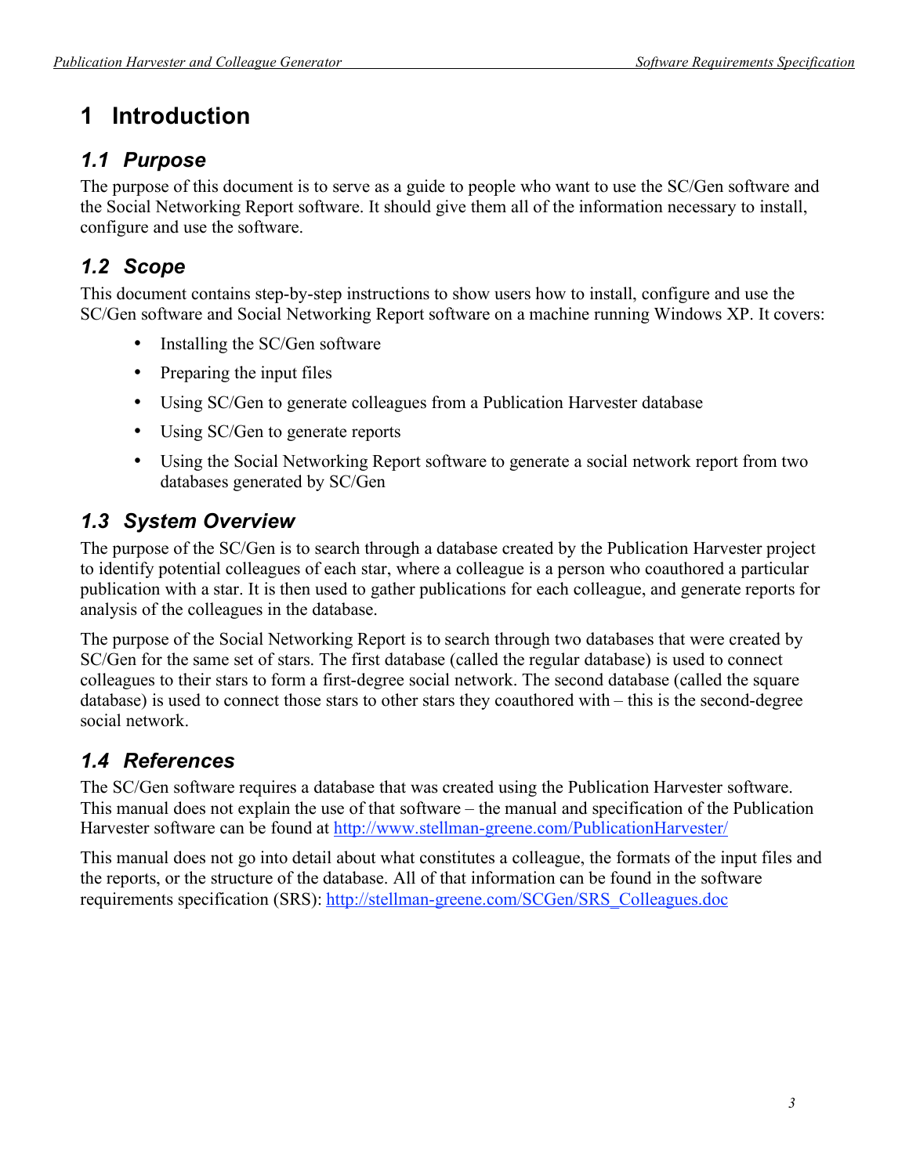# **1 Introduction**

### *1.1 Purpose*

The purpose of this document is to serve as a guide to people who want to use the SC/Gen software and the Social Networking Report software. It should give them all of the information necessary to install, configure and use the software.

## *1.2 Scope*

This document contains step-by-step instructions to show users how to install, configure and use the SC/Gen software and Social Networking Report software on a machine running Windows XP. It covers:

- Installing the SC/Gen software
- Preparing the input files
- Using SC/Gen to generate colleagues from a Publication Harvester database
- Using SC/Gen to generate reports
- Using the Social Networking Report software to generate a social network report from two databases generated by SC/Gen

## *1.3 System Overview*

The purpose of the SC/Gen is to search through a database created by the Publication Harvester project to identify potential colleagues of each star, where a colleague is a person who coauthored a particular publication with a star. It is then used to gather publications for each colleague, and generate reports for analysis of the colleagues in the database.

The purpose of the Social Networking Report is to search through two databases that were created by SC/Gen for the same set of stars. The first database (called the regular database) is used to connect colleagues to their stars to form a first-degree social network. The second database (called the square database) is used to connect those stars to other stars they coauthored with – this is the second-degree social network.

## *1.4 References*

The SC/Gen software requires a database that was created using the Publication Harvester software. This manual does not explain the use of that software – the manual and specification of the Publication Harvester software can be found at http://www.stellman-greene.com/PublicationHarvester/

This manual does not go into detail about what constitutes a colleague, the formats of the input files and the reports, or the structure of the database. All of that information can be found in the software requirements specification (SRS): http://stellman-greene.com/SCGen/SRS\_Colleagues.doc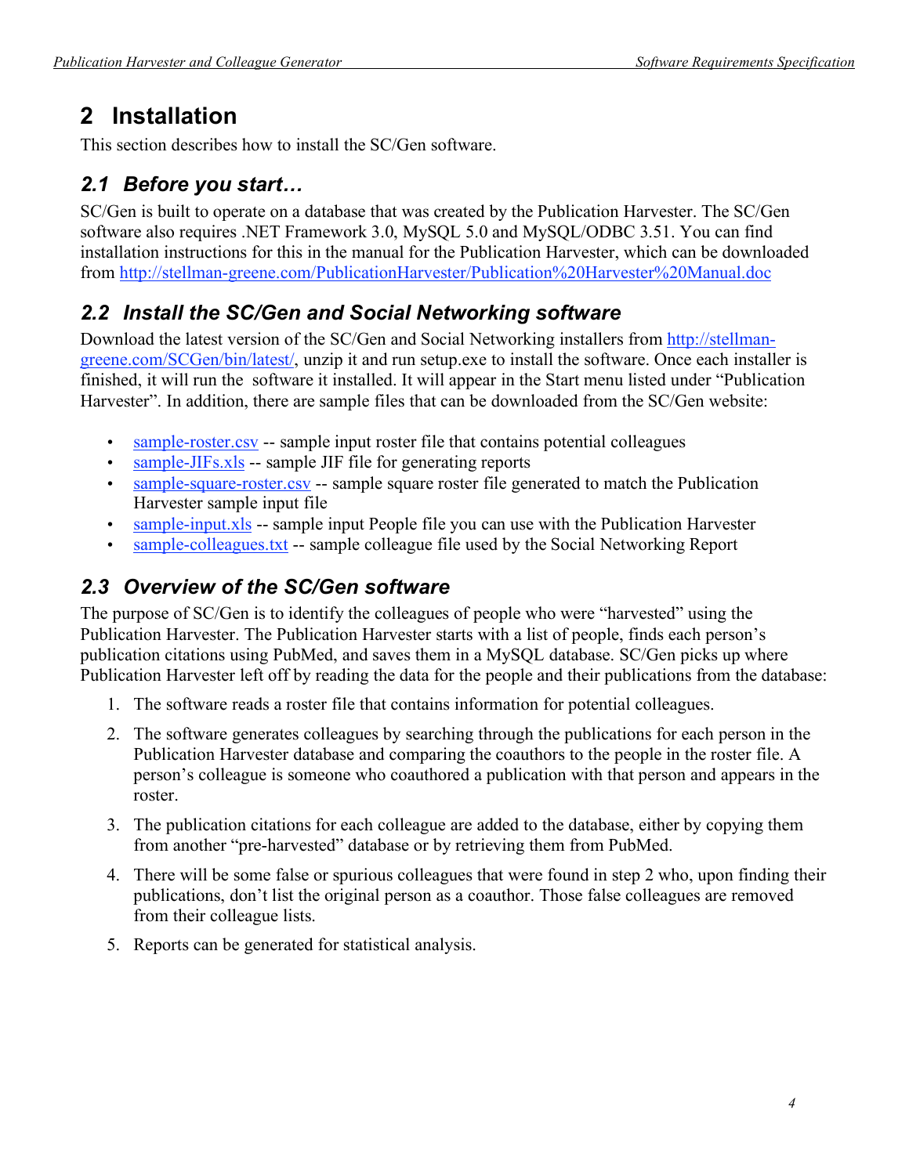# **2 Installation**

This section describes how to install the SC/Gen software.

## *2.1 Before you start…*

SC/Gen is built to operate on a database that was created by the Publication Harvester. The SC/Gen software also requires .NET Framework 3.0, MySQL 5.0 and MySQL/ODBC 3.51. You can find installation instructions for this in the manual for the Publication Harvester, which can be downloaded from http://stellman-greene.com/PublicationHarvester/Publication%20Harvester%20Manual.doc

## *2.2 Install the SC/Gen and Social Networking software*

Download the latest version of the SC/Gen and Social Networking installers from http://stellmangreene.com/SCGen/bin/latest/, unzip it and run setup.exe to install the software. Once each installer is finished, it will run the software it installed. It will appear in the Start menu listed under "Publication Harvester". In addition, there are sample files that can be downloaded from the SC/Gen website:

- sample-roster.csv -- sample input roster file that contains potential colleagues
- sample-JIFs.xls -- sample JIF file for generating reports
- sample-square-roster.csv -- sample square roster file generated to match the Publication Harvester sample input file
- $\frac{\text{sample-input} \times \text{ls}}{\text{sample input}}$  -- sample input People file you can use with the Publication Harvester
- sample-colleagues.txt -- sample colleague file used by the Social Networking Report

## *2.3 Overview of the SC/Gen software*

The purpose of SC/Gen is to identify the colleagues of people who were "harvested" using the Publication Harvester. The Publication Harvester starts with a list of people, finds each person's publication citations using PubMed, and saves them in a MySQL database. SC/Gen picks up where Publication Harvester left off by reading the data for the people and their publications from the database:

- 1. The software reads a roster file that contains information for potential colleagues.
- 2. The software generates colleagues by searching through the publications for each person in the Publication Harvester database and comparing the coauthors to the people in the roster file. A person's colleague is someone who coauthored a publication with that person and appears in the roster.
- 3. The publication citations for each colleague are added to the database, either by copying them from another "pre-harvested" database or by retrieving them from PubMed.
- 4. There will be some false or spurious colleagues that were found in step 2 who, upon finding their publications, don't list the original person as a coauthor. Those false colleagues are removed from their colleague lists.
- 5. Reports can be generated for statistical analysis.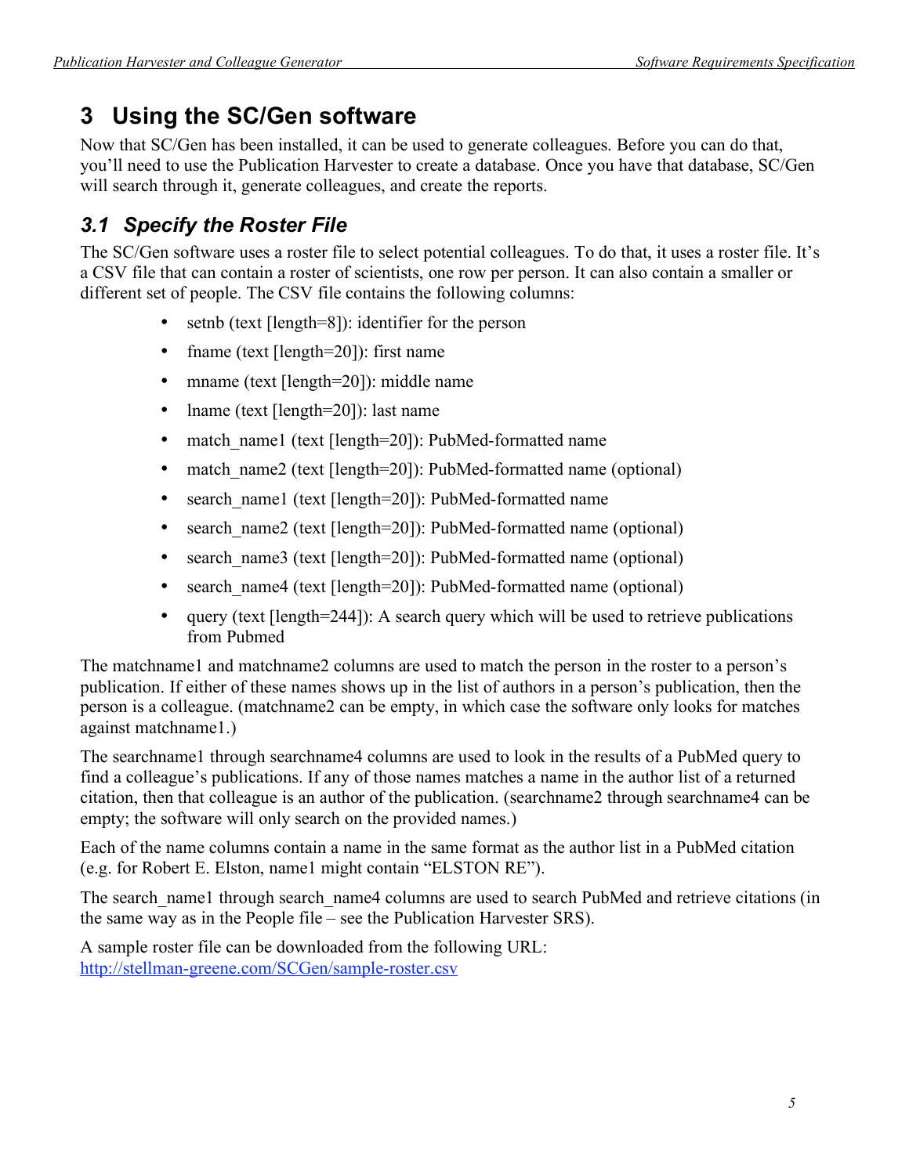# **3 Using the SC/Gen software**

Now that SC/Gen has been installed, it can be used to generate colleagues. Before you can do that, you'll need to use the Publication Harvester to create a database. Once you have that database, SC/Gen will search through it, generate colleagues, and create the reports.

## *3.1 Specify the Roster File*

The SC/Gen software uses a roster file to select potential colleagues. To do that, it uses a roster file. It's a CSV file that can contain a roster of scientists, one row per person. It can also contain a smaller or different set of people. The CSV file contains the following columns:

- setnb (text [length=8]): identifier for the person
- frame (text [length=20]): first name
- mname (text [length=20]): middle name
- lname (text [length=20]): last name
- match\_name1 (text [length=20]): PubMed-formatted name
- match name2 (text [length=20]): PubMed-formatted name (optional)
- search\_name1 (text [length=20]): PubMed-formatted name
- search\_name2 (text [length=20]): PubMed-formatted name (optional)
- search name3 (text [length=20]): PubMed-formatted name (optional)
- search\_name4 (text [length=20]): PubMed-formatted name (optional)
- query (text [length=244]): A search query which will be used to retrieve publications from Pubmed

The matchname1 and matchname2 columns are used to match the person in the roster to a person's publication. If either of these names shows up in the list of authors in a person's publication, then the person is a colleague. (matchname2 can be empty, in which case the software only looks for matches against matchname1.)

The searchname1 through searchname4 columns are used to look in the results of a PubMed query to find a colleague's publications. If any of those names matches a name in the author list of a returned citation, then that colleague is an author of the publication. (searchname2 through searchname4 can be empty; the software will only search on the provided names.)

Each of the name columns contain a name in the same format as the author list in a PubMed citation (e.g. for Robert E. Elston, name1 might contain "ELSTON RE").

The search name1 through search name4 columns are used to search PubMed and retrieve citations (in the same way as in the People file – see the Publication Harvester SRS).

A sample roster file can be downloaded from the following URL: http://stellman-greene.com/SCGen/sample-roster.csv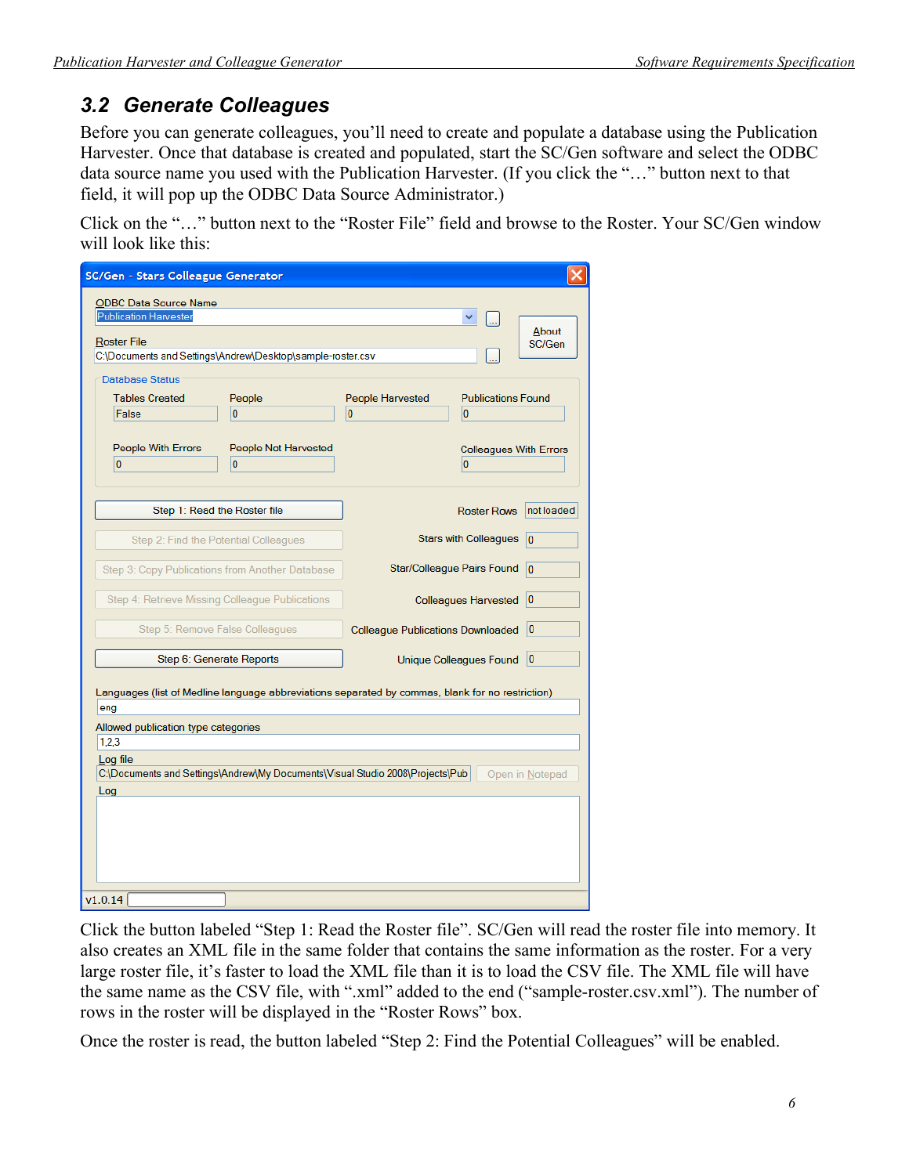## *3.2 Generate Colleagues*

Before you can generate colleagues, you'll need to create and populate a database using the Publication Harvester. Once that database is created and populated, start the SC/Gen software and select the ODBC data source name you used with the Publication Harvester. (If you click the "…" button next to that field, it will pop up the ODBC Data Source Administrator.)

Click on the "…" button next to the "Roster File" field and browse to the Roster. Your SC/Gen window will look like this:

| SC/Gen - Stars Colleague Generator                                                                                                                                                                                                                                      |                                                                                   |                 |  |  |
|-------------------------------------------------------------------------------------------------------------------------------------------------------------------------------------------------------------------------------------------------------------------------|-----------------------------------------------------------------------------------|-----------------|--|--|
| <b>ODBC Data Source Name</b><br><b>Publication Harvester</b><br><b>Roster File</b><br>C:\Documents and Settings\Andrew\Desktop\sample-roster.csv                                                                                                                        |                                                                                   | About<br>SC/Gen |  |  |
| <b>Database Status</b><br><b>Tables Created</b><br>People<br>False<br>$\overline{0}$                                                                                                                                                                                    | People Harvested<br><b>Publications Found</b><br>$\overline{0}$<br>$\overline{0}$ |                 |  |  |
| People With Errors<br>People Not Harvested<br>0<br>$\bf{0}$                                                                                                                                                                                                             | <b>Colleagues With Errors</b><br>$\overline{0}$                                   |                 |  |  |
| Step 1: Read the Roster file                                                                                                                                                                                                                                            | <b>Roster Rows</b>                                                                | not loaded      |  |  |
| Step 2: Find the Potential Colleagues                                                                                                                                                                                                                                   | <b>Stars with Colleagues</b>                                                      | $\overline{0}$  |  |  |
| Step 3: Copy Publications from Another Database                                                                                                                                                                                                                         | Star/Colleague Pairs Found                                                        | $ 0\rangle$     |  |  |
| Step 4: Retrieve Missing Colleague Publications                                                                                                                                                                                                                         | <b>Colleagues Harvested</b>                                                       | $ 0\rangle$     |  |  |
| Step 5: Remove False Colleagues                                                                                                                                                                                                                                         | <b>Colleague Publications Downloaded</b>                                          | $\overline{0}$  |  |  |
| Step 6: Generate Reports                                                                                                                                                                                                                                                | Unique Colleagues Found                                                           | 10              |  |  |
| Languages (list of Medline language abbreviations separated by commas, blank for no restriction)<br>eng<br>Allowed publication type categories<br>1,2,3<br>Log file<br>C:\Documents and Settings\Andrew\My Documents\Visual Studio 2008\Projects\Pub<br>Open in Notepad |                                                                                   |                 |  |  |
| Log                                                                                                                                                                                                                                                                     |                                                                                   |                 |  |  |
| v1.0.14                                                                                                                                                                                                                                                                 |                                                                                   |                 |  |  |

Click the button labeled "Step 1: Read the Roster file". SC/Gen will read the roster file into memory. It also creates an XML file in the same folder that contains the same information as the roster. For a very large roster file, it's faster to load the XML file than it is to load the CSV file. The XML file will have the same name as the CSV file, with ".xml" added to the end ("sample-roster.csv.xml"). The number of rows in the roster will be displayed in the "Roster Rows" box.

Once the roster is read, the button labeled "Step 2: Find the Potential Colleagues" will be enabled.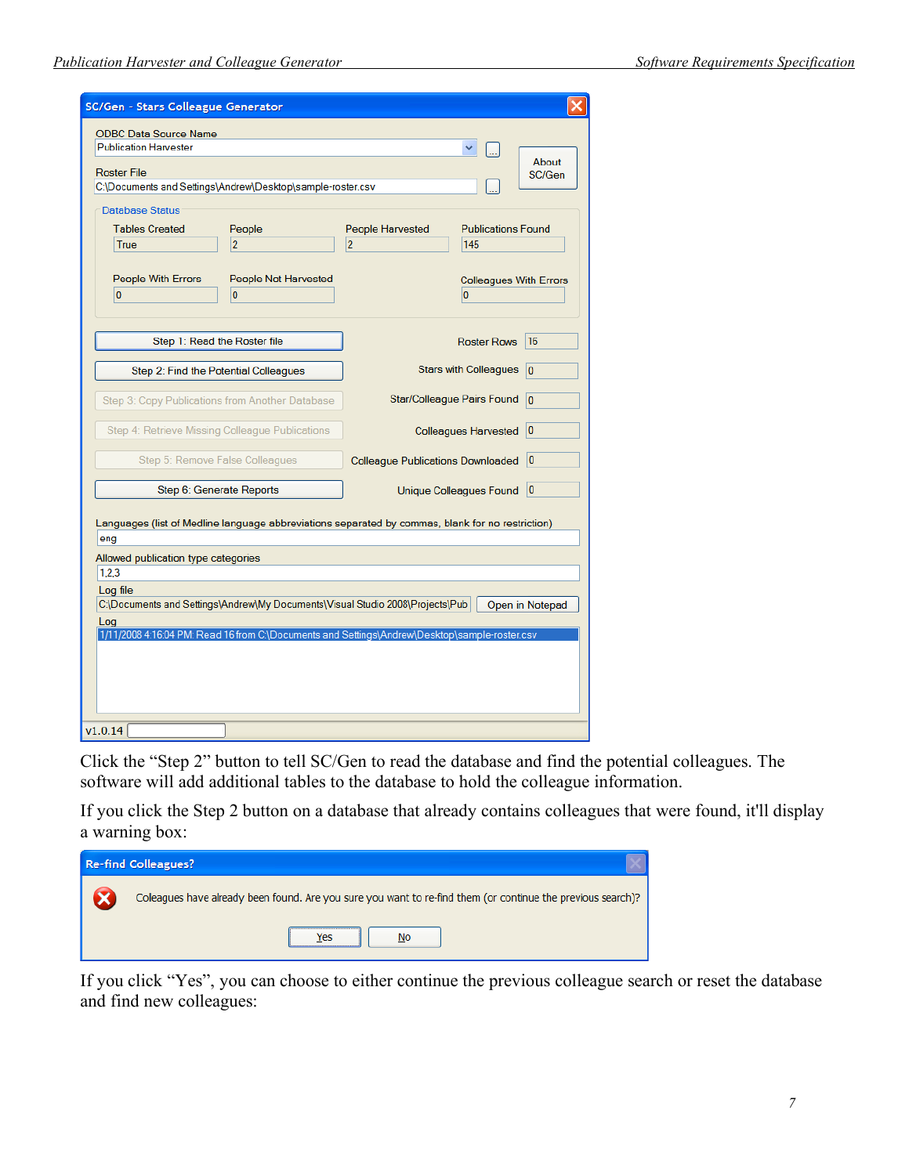| SC/Gen - Stars Colleague Generator                                                                                                               |                                                                                               |                                          |                                                                   |                 |
|--------------------------------------------------------------------------------------------------------------------------------------------------|-----------------------------------------------------------------------------------------------|------------------------------------------|-------------------------------------------------------------------|-----------------|
| <b>ODBC Data Source Name</b><br><b>Publication Harvester</b><br><b>Roster File</b><br>C:\Documents and Settings\Andrew\Desktop\sample-roster.csv |                                                                                               |                                          |                                                                   | About<br>SC/Gen |
| <b>Database Status</b><br><b>Tables Created</b><br>True<br>People With Errors                                                                    | People<br>$\overline{2}$<br>People Not Harvested                                              | People Harvested<br>$\overline{2}$       | <b>Publications Found</b><br>145<br><b>Colleagues With Errors</b> |                 |
| $\bf{0}$                                                                                                                                         | $\overline{0}$                                                                                |                                          | $\overline{0}$                                                    |                 |
|                                                                                                                                                  | Step 1: Read the Roster file                                                                  |                                          | <b>Roster Rows</b>                                                | 16              |
|                                                                                                                                                  | Step 2: Find the Potential Colleagues                                                         |                                          | <b>Stars with Colleagues</b>                                      | $\overline{0}$  |
|                                                                                                                                                  | Step 3: Copy Publications from Another Database                                               |                                          | Star/Colleague Pairs Found                                        | $\overline{0}$  |
|                                                                                                                                                  | Step 4: Retrieve Missing Colleague Publications                                               |                                          | <b>Colleagues Harvested</b>                                       | 10              |
|                                                                                                                                                  | Step 5: Remove False Colleagues                                                               | <b>Colleague Publications Downloaded</b> |                                                                   | 10              |
|                                                                                                                                                  | Step 6: Generate Reports                                                                      |                                          | Unique Colleagues Found                                           | 10              |
| Languages (list of Medline language abbreviations separated by commas, blank for no restriction)<br>eng                                          |                                                                                               |                                          |                                                                   |                 |
| Allowed publication type categories<br>1,2,3                                                                                                     |                                                                                               |                                          |                                                                   |                 |
| Log file<br>C:\Documents and Settings\Andrew\My Documents\Visual Studio 2008\Projects\Pub<br>Open in Notepad                                     |                                                                                               |                                          |                                                                   |                 |
| Log                                                                                                                                              | 1/11/2008 4:16:04 PM: Read 16 from C:\Documents and Settings\Andrew\Desktop\sample-roster.csv |                                          |                                                                   |                 |
| v1.0.14                                                                                                                                          |                                                                                               |                                          |                                                                   |                 |

Click the "Step 2" button to tell SC/Gen to read the database and find the potential colleagues. The software will add additional tables to the database to hold the colleague information.

If you click the Step 2 button on a database that already contains colleagues that were found, it'll display a warning box:

| <b>Re-find Colleagues?</b>                                                                                   |
|--------------------------------------------------------------------------------------------------------------|
| Colleagues have already been found. Are you sure you want to re-find them (or continue the previous search)? |
| No<br>'es                                                                                                    |

If you click "Yes", you can choose to either continue the previous colleague search or reset the database and find new colleagues: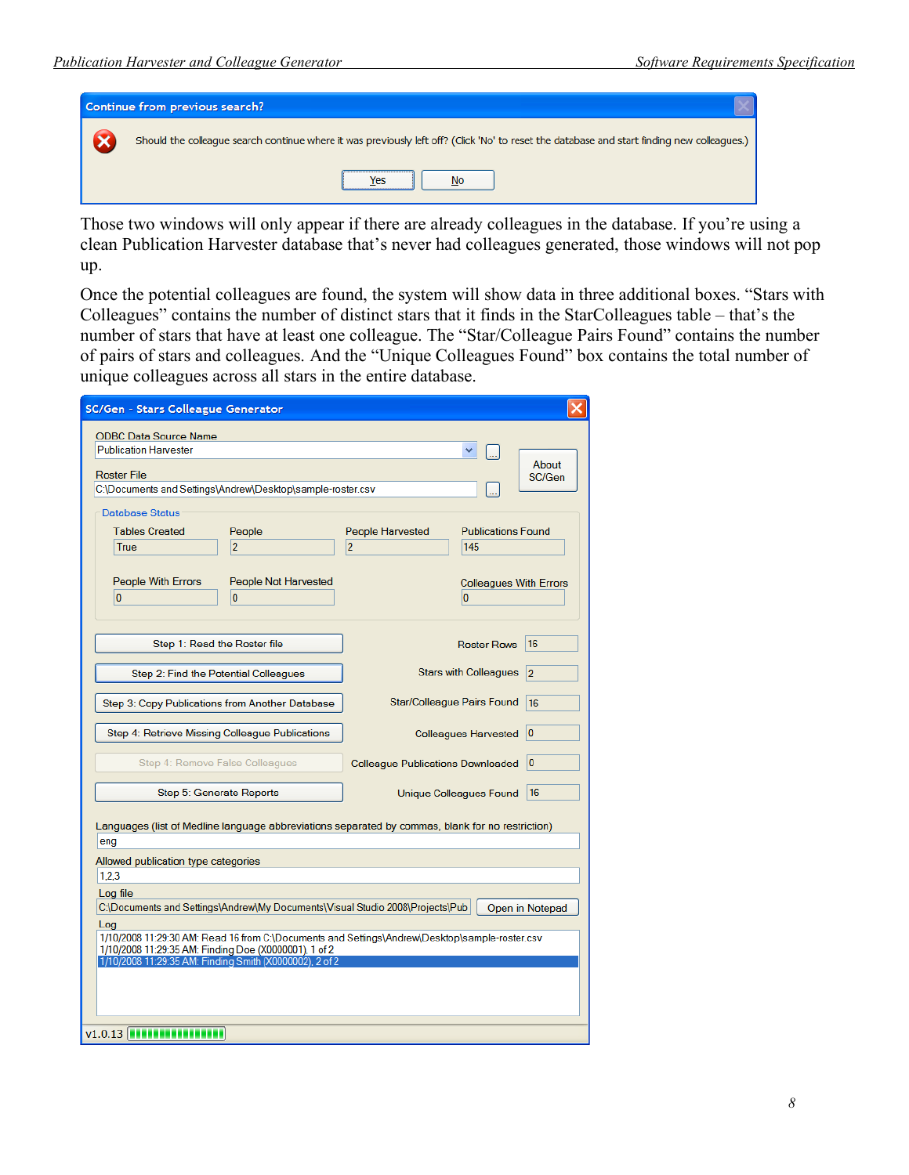

Those two windows will only appear if there are already colleagues in the database. If you're using a clean Publication Harvester database that's never had colleagues generated, those windows will not pop up.

Once the potential colleagues are found, the system will show data in three additional boxes. "Stars with Colleagues" contains the number of distinct stars that it finds in the StarColleagues table – that's the number of stars that have at least one colleague. The "Star/Colleague Pairs Found" contains the number of pairs of stars and colleagues. And the "Unique Colleagues Found" box contains the total number of unique colleagues across all stars in the entire database.

| SC/Gen - Stars Colleague Generator                                                                                                                                         |                                                                                                  |                 |  |  |
|----------------------------------------------------------------------------------------------------------------------------------------------------------------------------|--------------------------------------------------------------------------------------------------|-----------------|--|--|
| <b>ODBC Data Source Name</b><br><b>Publication Harvester</b><br><b>Roster File</b><br>C:\Documents and Settings\Andrew\Desktop\sample-roster.csv<br><b>Database Status</b> |                                                                                                  | About<br>SC/Gen |  |  |
| <b>Tables Created</b><br>People<br>$\overline{2}$<br>True                                                                                                                  | People Harvested<br><b>Publications Found</b><br>$\overline{2}$<br>145                           |                 |  |  |
| People With Errors<br>People Not Harvested<br>$\bf{0}$<br>0                                                                                                                | <b>Colleagues With Errors</b><br>0                                                               |                 |  |  |
|                                                                                                                                                                            |                                                                                                  |                 |  |  |
| Step 1: Read the Roster file                                                                                                                                               | <b>Roster Rows</b>                                                                               | 16              |  |  |
| Step 2: Find the Potential Colleagues                                                                                                                                      | <b>Stars with Colleagues</b>                                                                     | $\overline{2}$  |  |  |
| Step 3: Copy Publications from Another Database                                                                                                                            | Star/Colleague Pairs Found                                                                       | 16              |  |  |
| Step 4: Retrieve Missing Colleague Publications                                                                                                                            | <b>Colleagues Harvested</b>                                                                      | 10              |  |  |
| Step 4: Remove False Colleagues                                                                                                                                            | <b>Colleague Publications Downloaded</b>                                                         | 10              |  |  |
| Step 5: Generate Reports                                                                                                                                                   | Unique Colleagues Found                                                                          | 16              |  |  |
| eng                                                                                                                                                                        | Languages (list of Medline language abbreviations separated by commas, blank for no restriction) |                 |  |  |
| Allowed publication type categories                                                                                                                                        |                                                                                                  |                 |  |  |
| 1,2,3                                                                                                                                                                      |                                                                                                  |                 |  |  |
| Log file<br>C:\Documents and Settings\Andrew\My Documents\Visual Studio 2008\Projects\Pub<br>Open in Notepad                                                               |                                                                                                  |                 |  |  |
| Loa                                                                                                                                                                        |                                                                                                  |                 |  |  |
| 1/10/2008 11:29:30 AM: Read 16 from C:\Documents and Settings\Andrew\Desktop\sample-roster.csv<br>1/10/2008 11:29:35 AM: Finding Doe (X0000001), 1 of 2                    |                                                                                                  |                 |  |  |
| 1/10/2008 11:29:35 AM: Finding Smith (X0000002), 2 of 2                                                                                                                    |                                                                                                  |                 |  |  |
|                                                                                                                                                                            |                                                                                                  |                 |  |  |
|                                                                                                                                                                            |                                                                                                  |                 |  |  |
| v1.0.13 <b>INTERNATIONAL</b>                                                                                                                                               |                                                                                                  |                 |  |  |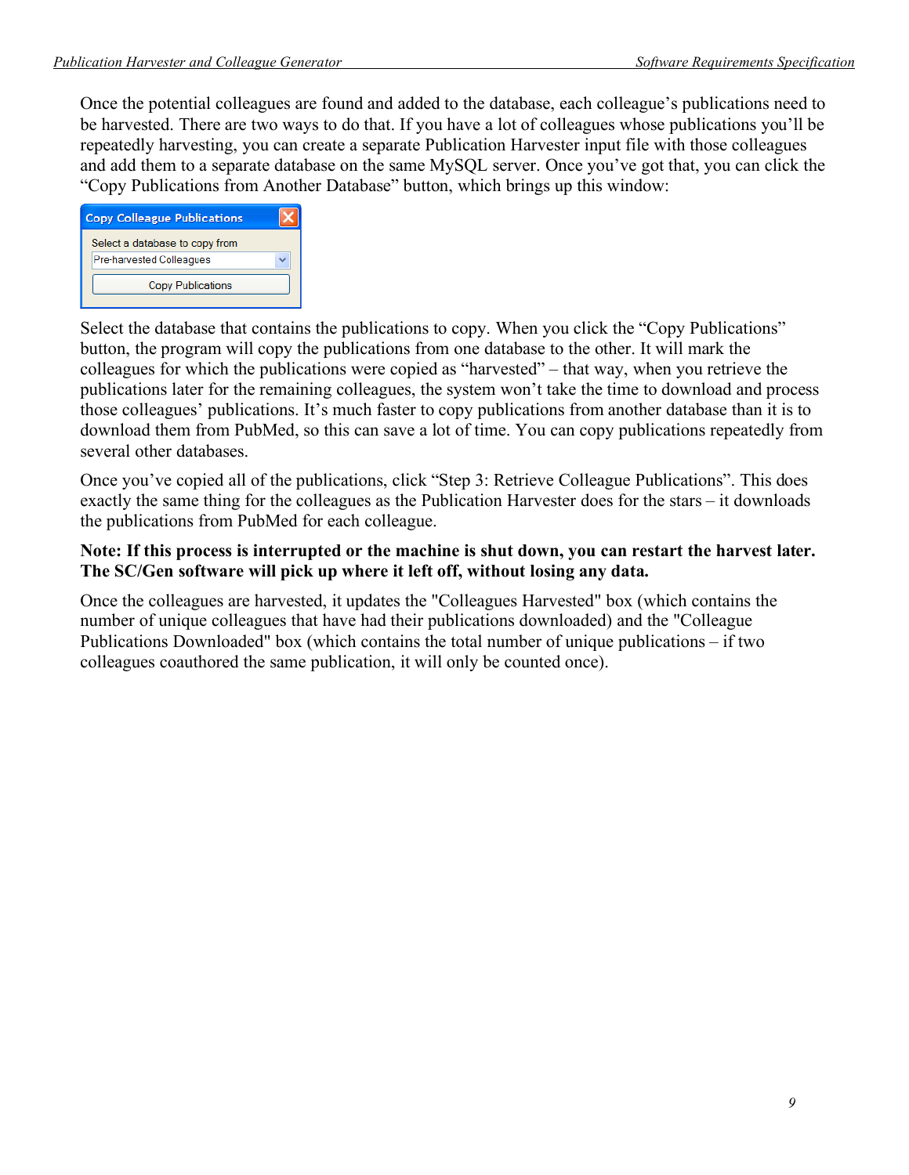Once the potential colleagues are found and added to the database, each colleague's publications need to be harvested. There are two ways to do that. If you have a lot of colleagues whose publications you'll be repeatedly harvesting, you can create a separate Publication Harvester input file with those colleagues and add them to a separate database on the same MySQL server. Once you've got that, you can click the "Copy Publications from Another Database" button, which brings up this window:

| <b>Copy Colleague Publications</b>                         |  |
|------------------------------------------------------------|--|
| Select a database to copy from<br>Pre-harvested Colleagues |  |
| <b>Copy Publications</b>                                   |  |

Select the database that contains the publications to copy. When you click the "Copy Publications" button, the program will copy the publications from one database to the other. It will mark the colleagues for which the publications were copied as "harvested" – that way, when you retrieve the publications later for the remaining colleagues, the system won't take the time to download and process those colleagues' publications. It's much faster to copy publications from another database than it is to download them from PubMed, so this can save a lot of time. You can copy publications repeatedly from several other databases.

Once you've copied all of the publications, click "Step 3: Retrieve Colleague Publications". This does exactly the same thing for the colleagues as the Publication Harvester does for the stars – it downloads the publications from PubMed for each colleague.

### **Note: If this process is interrupted or the machine is shut down, you can restart the harvest later. The SC/Gen software will pick up where it left off, without losing any data.**

Once the colleagues are harvested, it updates the "Colleagues Harvested" box (which contains the number of unique colleagues that have had their publications downloaded) and the "Colleague Publications Downloaded" box (which contains the total number of unique publications – if two colleagues coauthored the same publication, it will only be counted once).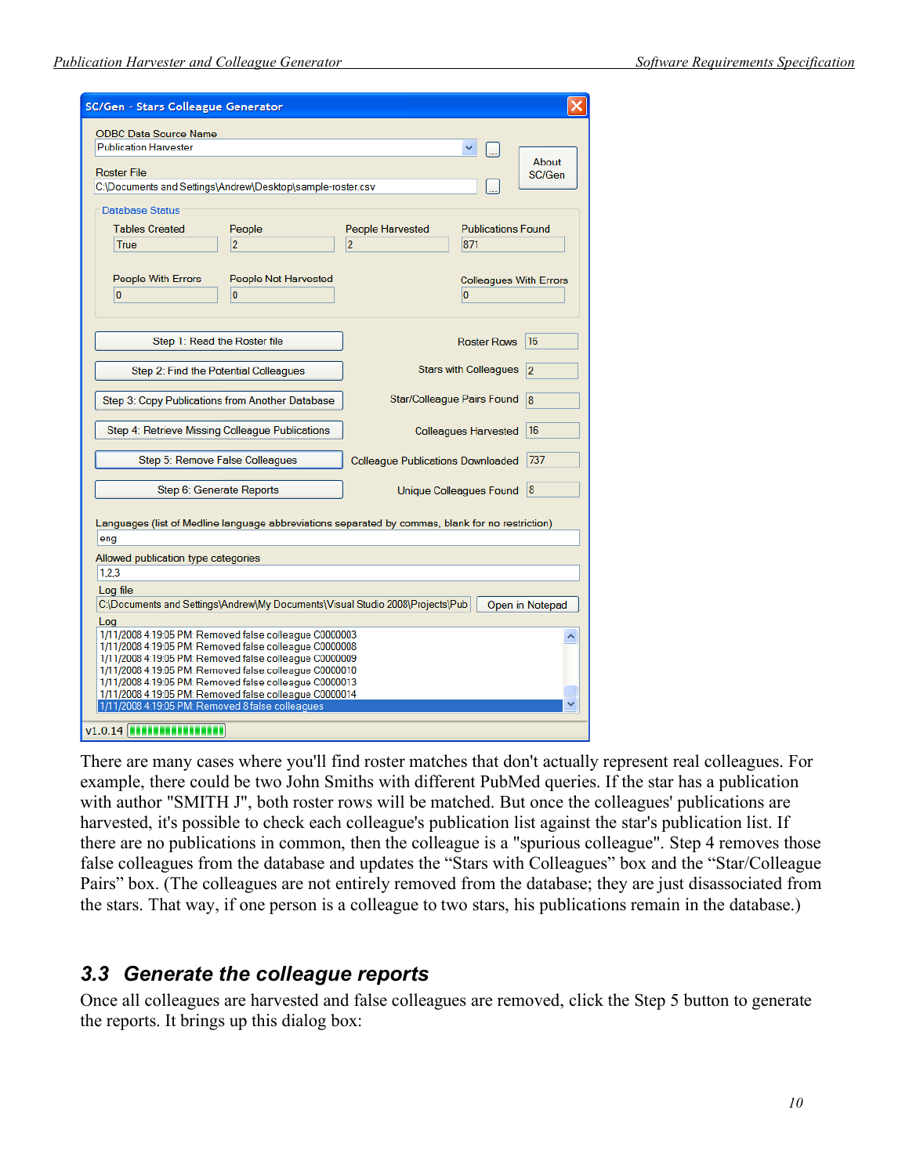| SC/Gen - Stars Colleague Generator                                                                                                                                                                                                                                                                                                                                                                                  |                                        |                                          |                                                 |  |  |
|---------------------------------------------------------------------------------------------------------------------------------------------------------------------------------------------------------------------------------------------------------------------------------------------------------------------------------------------------------------------------------------------------------------------|----------------------------------------|------------------------------------------|-------------------------------------------------|--|--|
| <b>ODBC Data Source Name</b><br><b>Publication Harvester</b><br><b>Roster File</b><br>C:\Documents and Settings\Andrew\Desktop\sample-roster.csv                                                                                                                                                                                                                                                                    |                                        |                                          | ×.<br>About<br>SC/Gen                           |  |  |
| <b>Database Status</b><br><b>Tables Created</b><br>People<br>$\overline{2}$<br>True                                                                                                                                                                                                                                                                                                                                 |                                        | People Harvested<br>$\overline{2}$       | <b>Publications Found</b><br>871                |  |  |
| People With Errors<br>$\overline{0}$                                                                                                                                                                                                                                                                                                                                                                                | People Not Harvested<br>$\overline{0}$ |                                          | <b>Colleagues With Errors</b><br>$\overline{0}$ |  |  |
| Step 1: Read the Roster file                                                                                                                                                                                                                                                                                                                                                                                        |                                        |                                          | 16<br><b>Roster Rows</b>                        |  |  |
| Step 2: Find the Potential Colleagues                                                                                                                                                                                                                                                                                                                                                                               |                                        |                                          | <b>Stars with Colleagues</b><br> 2              |  |  |
| Step 3: Copy Publications from Another Database                                                                                                                                                                                                                                                                                                                                                                     |                                        |                                          | Star/Colleague Pairs Found<br> 8                |  |  |
| Step 4: Retrieve Missing Colleague Publications                                                                                                                                                                                                                                                                                                                                                                     |                                        |                                          | 16<br><b>Colleagues Harvested</b>               |  |  |
| Step 5: Remove False Colleagues                                                                                                                                                                                                                                                                                                                                                                                     |                                        | <b>Colleague Publications Downloaded</b> | 737                                             |  |  |
| Step 6: Generate Reports                                                                                                                                                                                                                                                                                                                                                                                            |                                        |                                          | 8 <br>Unique Colleagues Found                   |  |  |
| Languages (list of Medline language abbreviations separated by commas, blank for no restriction)<br>eng                                                                                                                                                                                                                                                                                                             |                                        |                                          |                                                 |  |  |
| 1,2,3                                                                                                                                                                                                                                                                                                                                                                                                               | Allowed publication type categories    |                                          |                                                 |  |  |
| Log file<br>C:\Documents and Settings\Andrew\My Documents\Visual Studio 2008\Projects\Pub<br>Open in Notepad                                                                                                                                                                                                                                                                                                        |                                        |                                          |                                                 |  |  |
| Log<br>1/11/2008 4:19:05 PM: Removed false colleague C0000003<br>1/11/2008 4:19:05 PM: Removed false colleague C0000008<br>1/11/2008 4:19:05 PM: Removed false colleague C0000009<br>1/11/2008 4:19:05 PM: Removed false colleague C0000010<br>1/11/2008 4:19:05 PM: Removed false colleague C0000013<br>1/11/2008 4:19:05 PM: Removed false colleague C0000014<br>1/11/2008 4:19:05 PM: Removed 8 false colleagues |                                        |                                          |                                                 |  |  |
| $v1.0.14$ <b>THEFT</b>                                                                                                                                                                                                                                                                                                                                                                                              |                                        |                                          |                                                 |  |  |

There are many cases where you'll find roster matches that don't actually represent real colleagues. For example, there could be two John Smiths with different PubMed queries. If the star has a publication with author "SMITH J", both roster rows will be matched. But once the colleagues' publications are harvested, it's possible to check each colleague's publication list against the star's publication list. If there are no publications in common, then the colleague is a "spurious colleague". Step 4 removes those false colleagues from the database and updates the "Stars with Colleagues" box and the "Star/Colleague Pairs" box. (The colleagues are not entirely removed from the database; they are just disassociated from the stars. That way, if one person is a colleague to two stars, his publications remain in the database.)

### *3.3 Generate the colleague reports*

Once all colleagues are harvested and false colleagues are removed, click the Step 5 button to generate the reports. It brings up this dialog box: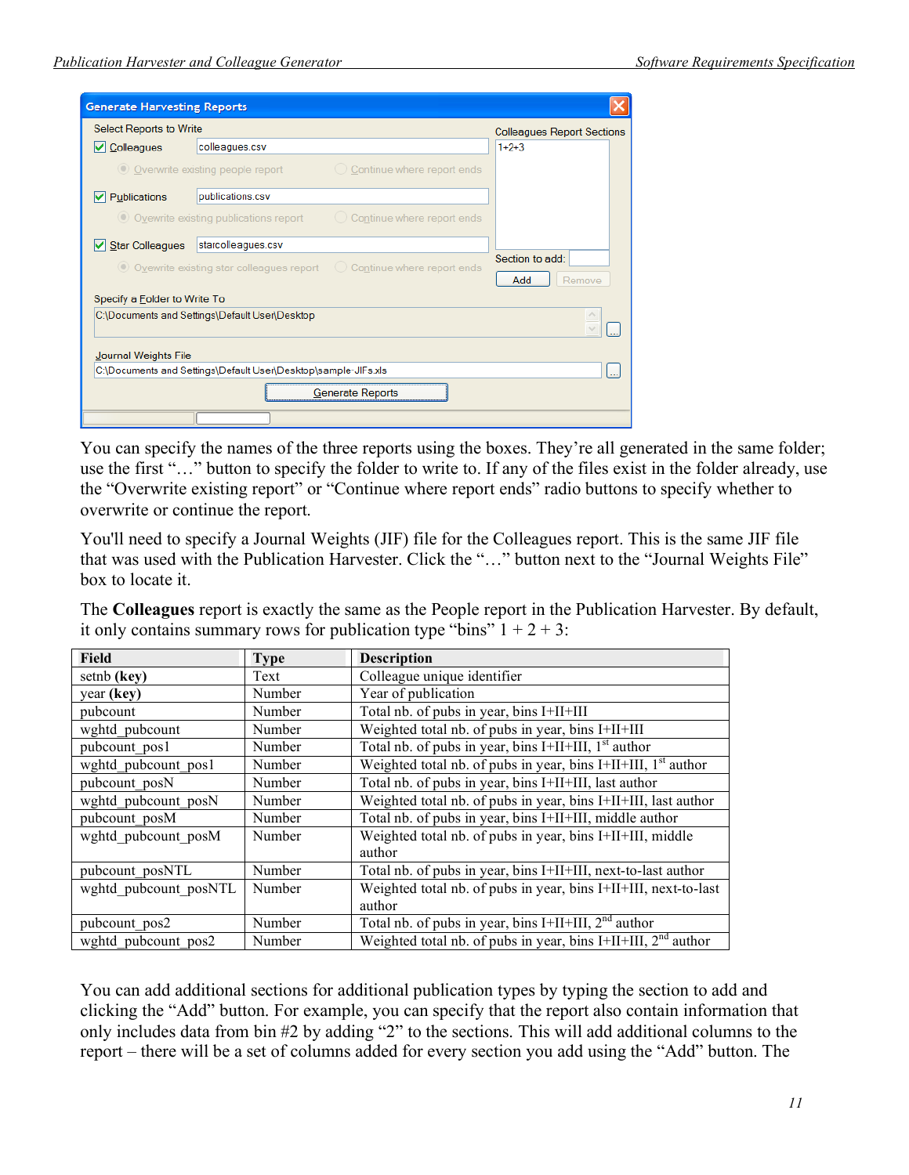| <b>Generate Harvesting Reports</b>                             |                                                |                                                                           |                                   |
|----------------------------------------------------------------|------------------------------------------------|---------------------------------------------------------------------------|-----------------------------------|
| <b>Select Reports to Write</b>                                 |                                                |                                                                           | <b>Colleagues Report Sections</b> |
| Colleagues<br>ы                                                | colleagues.csv                                 |                                                                           | $1+2+3$                           |
|                                                                | O Overwrite existing people report             | $\bigcirc$ Continue where report ends                                     |                                   |
| Publications<br>V                                              | publications.csv                               |                                                                           |                                   |
|                                                                | O Ovewrite existing publications report        | $\bigcirc$ Continue where report ends                                     |                                   |
| <b>Star Colleagues</b><br>M                                    | starcolleagues.csv                             |                                                                           |                                   |
|                                                                | ◯ Ovewrite existing star colleagues report     | Continue where report ends<br>$\left(\begin{array}{c} \end{array}\right)$ | Section to add:<br>Remove<br>Add  |
| Specify a Eolder to Write To                                   |                                                |                                                                           |                                   |
|                                                                | C:\Documents and Settings\Default User\Desktop |                                                                           |                                   |
| Journal Weights File                                           |                                                |                                                                           |                                   |
| C:\Documents and Settings\Default User\Desktop\sample-JIFs.xls |                                                |                                                                           |                                   |
| <b>Generate Reports</b>                                        |                                                |                                                                           |                                   |
|                                                                |                                                |                                                                           |                                   |

You can specify the names of the three reports using the boxes. They're all generated in the same folder; use the first "..." button to specify the folder to write to. If any of the files exist in the folder already, use the "Overwrite existing report" or "Continue where report ends" radio buttons to specify whether to overwrite or continue the report.

You'll need to specify a Journal Weights (JIF) file for the Colleagues report. This is the same JIF file that was used with the Publication Harvester. Click the "…" button next to the "Journal Weights File" box to locate it.

| It only contains summary rows for publication type only $1 + 2 + 5$ . |             |                                                                           |
|-----------------------------------------------------------------------|-------------|---------------------------------------------------------------------------|
| <b>Field</b>                                                          | <b>Type</b> | <b>Description</b>                                                        |
| setnb (key)                                                           | Text        | Colleague unique identifier                                               |
| year (key)                                                            | Number      | Year of publication                                                       |
| pubcount                                                              | Number      | Total nb. of pubs in year, bins I+II+III                                  |
| wghtd pubcount                                                        | Number      | Weighted total nb. of pubs in year, bins I+II+III                         |
| pubcount pos1                                                         | Number      | Total nb. of pubs in year, bins I+II+III, $1st$ author                    |
| wghtd pubcount pos1                                                   | Number      | Weighted total nb. of pubs in year, bins I+II+III, $1st$ author           |
| pubcount posN                                                         | Number      | Total nb. of pubs in year, bins I+II+III, last author                     |
| wghtd pubcount posN                                                   | Number      | Weighted total nb. of pubs in year, bins I+II+III, last author            |
| pubcount posM                                                         | Number      | Total nb. of pubs in year, bins I+II+III, middle author                   |
| wghtd pubcount posM                                                   | Number      | Weighted total nb. of pubs in year, bins I+II+III, middle<br>author       |
| pubcount posNTL                                                       | Number      | Total nb. of pubs in year, bins I+II+III, next-to-last author             |
| wghtd pubcount posNTL                                                 | Number      | Weighted total nb. of pubs in year, bins I+II+III, next-to-last<br>author |
| pubcount pos2                                                         | Number      | Total nb. of pubs in year, $\overline{bins I+II+III}$ , $2nd author$      |
| wghtd pubcount pos2                                                   | Number      | Weighted total nb. of pubs in year, bins I+II+III, $2nd$ author           |

The **Colleagues** report is exactly the same as the People report in the Publication Harvester. By default, it only contains summary rows for publication type "bins"  $1 + 2 + 3$ .

You can add additional sections for additional publication types by typing the section to add and clicking the "Add" button. For example, you can specify that the report also contain information that only includes data from bin #2 by adding "2" to the sections. This will add additional columns to the report – there will be a set of columns added for every section you add using the "Add" button. The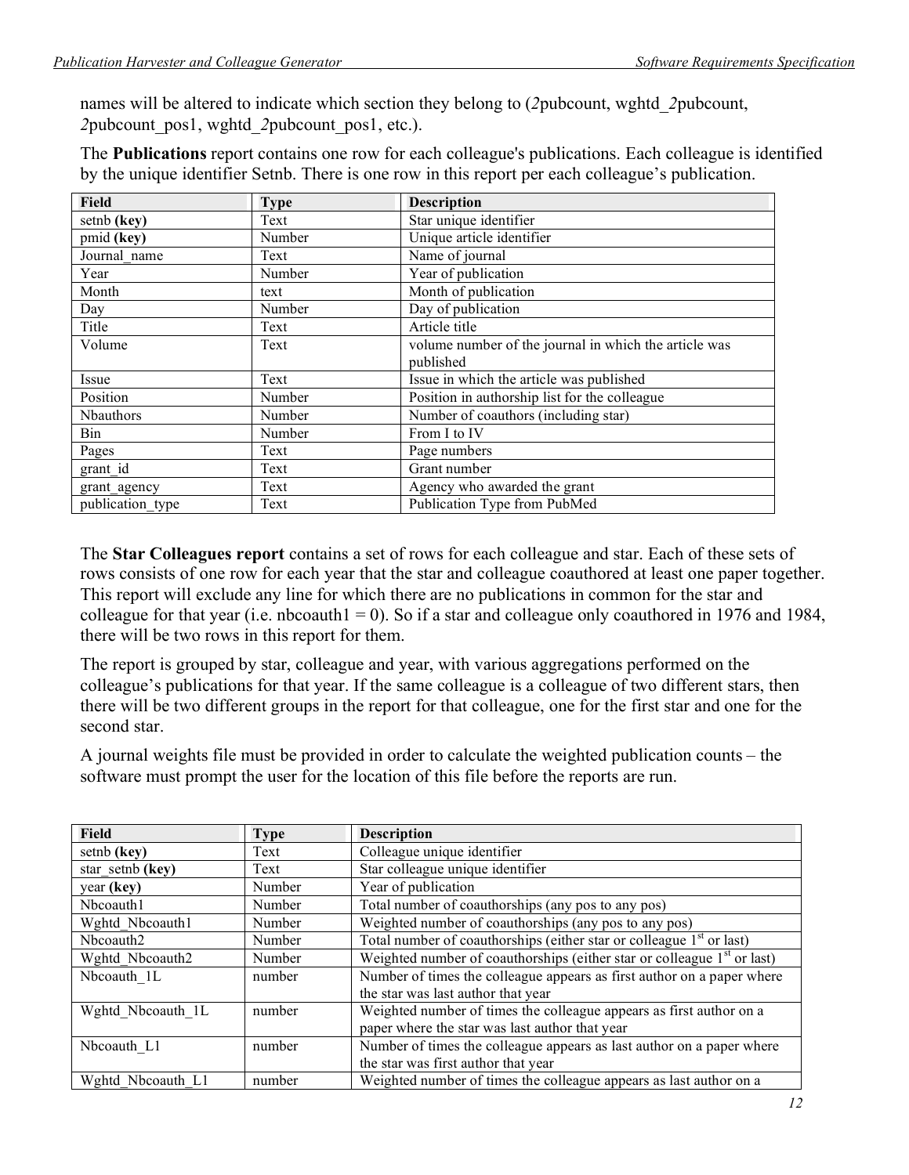names will be altered to indicate which section they belong to (*2*pubcount, wghtd\_*2*pubcount, *2*pubcount\_pos1, wghtd\_*2*pubcount\_pos1, etc.).

The **Publications** report contains one row for each colleague's publications. Each colleague is identified by the unique identifier Setnb. There is one row in this report per each colleague's publication.

| Field            | <b>Type</b> | <b>Description</b>                                    |  |
|------------------|-------------|-------------------------------------------------------|--|
| setnb (key)      | Text        | Star unique identifier                                |  |
| pmid (key)       | Number      | Unique article identifier                             |  |
| Journal name     | Text        | Name of journal                                       |  |
| Year             | Number      | Year of publication                                   |  |
| Month            | text        | Month of publication                                  |  |
| Day              | Number      | Day of publication                                    |  |
| Title            | Text        | Article title                                         |  |
| Volume           | Text        | volume number of the journal in which the article was |  |
|                  |             | published                                             |  |
| Issue            | Text        | Issue in which the article was published              |  |
| Position         | Number      | Position in authorship list for the colleague         |  |
| Nbauthors        | Number      | Number of coauthors (including star)                  |  |
| Bin              | Number      | From I to IV                                          |  |
| Pages            | Text        | Page numbers                                          |  |
| grant id         | Text        | Grant number                                          |  |
| grant_agency     | Text        | Agency who awarded the grant                          |  |
| publication type | Text        | Publication Type from PubMed                          |  |

The **Star Colleagues report** contains a set of rows for each colleague and star. Each of these sets of rows consists of one row for each year that the star and colleague coauthored at least one paper together. This report will exclude any line for which there are no publications in common for the star and colleague for that year (i.e. nbcoauth $1 = 0$ ). So if a star and colleague only coauthored in 1976 and 1984, there will be two rows in this report for them.

The report is grouped by star, colleague and year, with various aggregations performed on the colleague's publications for that year. If the same colleague is a colleague of two different stars, then there will be two different groups in the report for that colleague, one for the first star and one for the second star.

A journal weights file must be provided in order to calculate the weighted publication counts – the software must prompt the user for the location of this file before the reports are run.

| <b>Field</b>          | <b>Type</b> | <b>Description</b>                                                        |
|-----------------------|-------------|---------------------------------------------------------------------------|
| setnb (key)           | Text        | Colleague unique identifier                                               |
| star setnb (key)      | Text        | Star colleague unique identifier                                          |
| year (key)            | Number      | Year of publication                                                       |
| Nbcoauth1             | Number      | Total number of coauthorships (any pos to any pos)                        |
| Wghtd Nbcoauth1       | Number      | Weighted number of coauthorships (any pos to any pos)                     |
| Nbcoauth <sub>2</sub> | Number      | Total number of coauthorships (either star or colleague $1st$ or last)    |
| Wghtd Nbcoauth2       | Number      | Weighted number of coauthorships (either star or colleague $1st$ or last) |
| Nbcoauth 1L           | number      | Number of times the colleague appears as first author on a paper where    |
|                       |             | the star was last author that year                                        |
| Wghtd Nbcoauth 1L     | number      | Weighted number of times the colleague appears as first author on a       |
|                       |             | paper where the star was last author that year                            |
| Nbcoauth L1           | number      | Number of times the colleague appears as last author on a paper where     |
|                       |             | the star was first author that year                                       |
| Wghtd Nbcoauth L1     | number      | Weighted number of times the colleague appears as last author on a        |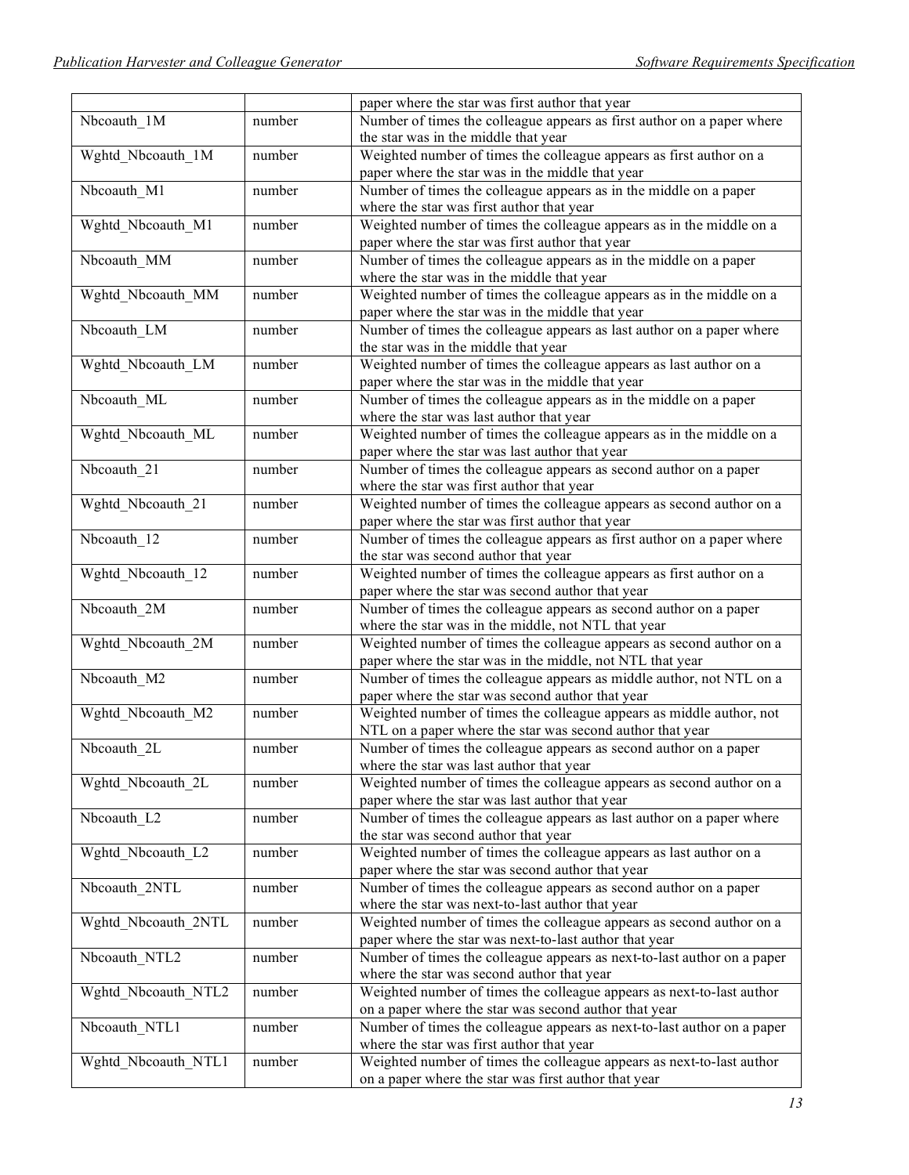|                     |        | paper where the star was first author that year                         |
|---------------------|--------|-------------------------------------------------------------------------|
| Nbcoauth 1M         | number | Number of times the colleague appears as first author on a paper where  |
|                     |        | the star was in the middle that year                                    |
| Wghtd_Nbcoauth_1M   | number | Weighted number of times the colleague appears as first author on a     |
|                     |        | paper where the star was in the middle that year                        |
| Nbcoauth_M1         | number | Number of times the colleague appears as in the middle on a paper       |
|                     |        | where the star was first author that year                               |
| Wghtd_Nbcoauth_M1   | number | Weighted number of times the colleague appears as in the middle on a    |
|                     |        | paper where the star was first author that year                         |
| Nbcoauth_MM         | number | Number of times the colleague appears as in the middle on a paper       |
|                     |        | where the star was in the middle that year                              |
| Wghtd_Nbcoauth_MM   | number | Weighted number of times the colleague appears as in the middle on a    |
|                     |        | paper where the star was in the middle that year                        |
| Nbcoauth_LM         | number | Number of times the colleague appears as last author on a paper where   |
|                     |        | the star was in the middle that year                                    |
| Wghtd_Nbcoauth_LM   | number | Weighted number of times the colleague appears as last author on a      |
|                     |        | paper where the star was in the middle that year                        |
| Nbcoauth_ML         | number | Number of times the colleague appears as in the middle on a paper       |
|                     |        | where the star was last author that year                                |
| Wghtd_Nbcoauth_ML   | number | Weighted number of times the colleague appears as in the middle on a    |
|                     |        | paper where the star was last author that year                          |
| Nbcoauth_21         | number | Number of times the colleague appears as second author on a paper       |
|                     |        | where the star was first author that year                               |
| Wghtd Nbcoauth 21   | number | Weighted number of times the colleague appears as second author on a    |
|                     |        | paper where the star was first author that year                         |
| Nbcoauth_12         | number | Number of times the colleague appears as first author on a paper where  |
|                     |        | the star was second author that year                                    |
| Wghtd_Nbcoauth_12   | number | Weighted number of times the colleague appears as first author on a     |
|                     |        | paper where the star was second author that year                        |
| Nbcoauth_2M         | number | Number of times the colleague appears as second author on a paper       |
|                     |        | where the star was in the middle, not NTL that year                     |
| Wghtd_Nbcoauth_2M   | number | Weighted number of times the colleague appears as second author on a    |
|                     |        | paper where the star was in the middle, not NTL that year               |
| Nbcoauth_M2         | number | Number of times the colleague appears as middle author, not NTL on a    |
|                     |        | paper where the star was second author that year                        |
| Wghtd_Nbcoauth_M2   | number | Weighted number of times the colleague appears as middle author, not    |
|                     |        | NTL on a paper where the star was second author that year               |
| Nbcoauth 2L         | number | Number of times the colleague appears as second author on a paper       |
|                     |        | where the star was last author that year                                |
| Wghtd_Nbcoauth_2L   | number | Weighted number of times the colleague appears as second author on a    |
|                     |        | paper where the star was last author that year                          |
| Nbcoauth_L2         | number | Number of times the colleague appears as last author on a paper where   |
|                     |        | the star was second author that year                                    |
| Wghtd_Nbcoauth_L2   | number | Weighted number of times the colleague appears as last author on a      |
|                     |        | paper where the star was second author that year                        |
| Nbcoauth_2NTL       | number | Number of times the colleague appears as second author on a paper       |
|                     |        | where the star was next-to-last author that year                        |
| Wghtd_Nbcoauth_2NTL | number | Weighted number of times the colleague appears as second author on a    |
|                     |        | paper where the star was next-to-last author that year                  |
| Nbcoauth_NTL2       | number | Number of times the colleague appears as next-to-last author on a paper |
|                     |        | where the star was second author that year                              |
| Wghtd_Nbcoauth_NTL2 | number | Weighted number of times the colleague appears as next-to-last author   |
|                     |        | on a paper where the star was second author that year                   |
| Nbcoauth_NTL1       | number | Number of times the colleague appears as next-to-last author on a paper |
|                     |        | where the star was first author that year                               |
| Wghtd_Nbcoauth_NTL1 | number | Weighted number of times the colleague appears as next-to-last author   |
|                     |        | on a paper where the star was first author that year                    |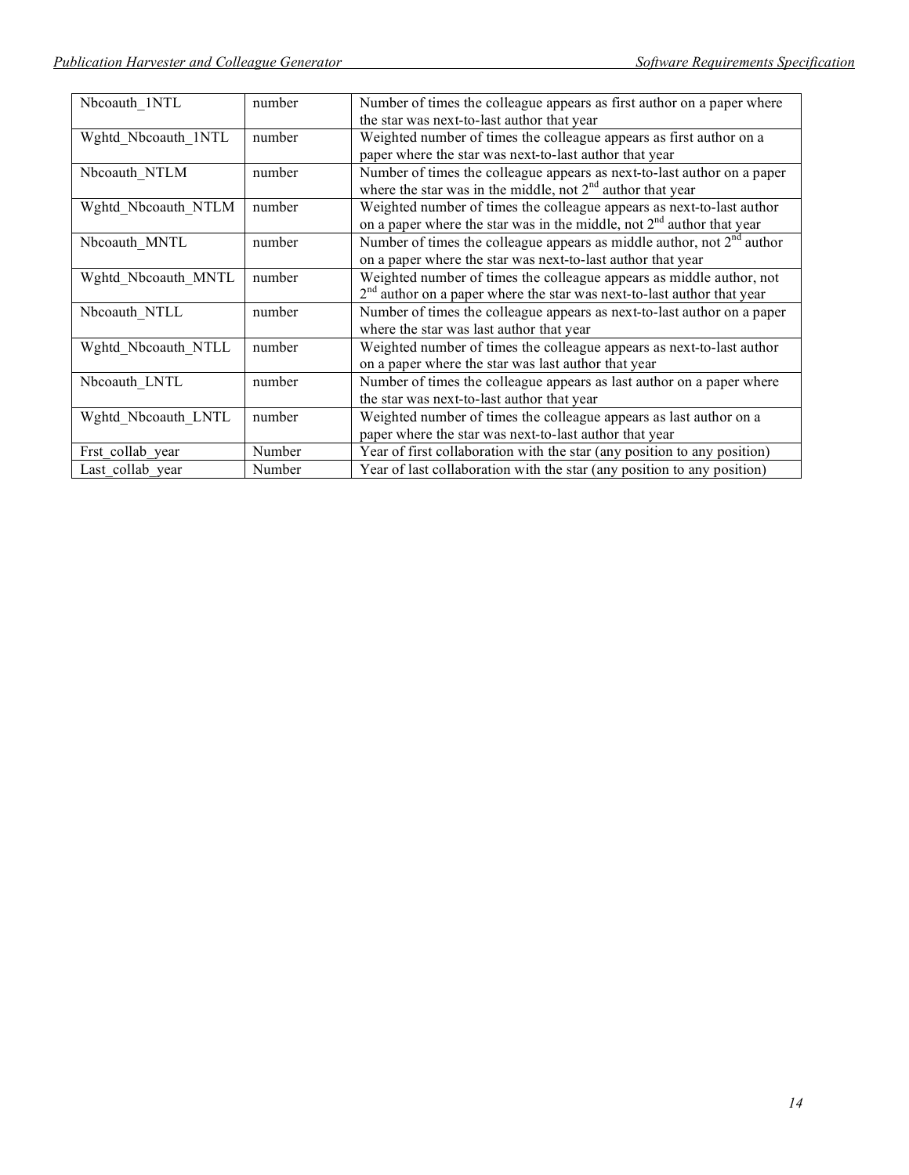| Nbcoauth 1NTL       | number | Number of times the colleague appears as first author on a paper where   |
|---------------------|--------|--------------------------------------------------------------------------|
|                     |        | the star was next-to-last author that year                               |
| Wghtd Nbcoauth 1NTL | number | Weighted number of times the colleague appears as first author on a      |
|                     |        | paper where the star was next-to-last author that year                   |
| Nbcoauth NTLM       | number | Number of times the colleague appears as next-to-last author on a paper  |
|                     |        | where the star was in the middle, not $2nd$ author that year             |
| Wghtd Nbcoauth NTLM | number | Weighted number of times the colleague appears as next-to-last author    |
|                     |        | on a paper where the star was in the middle, not $2nd$ author that year  |
| Nbcoauth MNTL       | number | Number of times the colleague appears as middle author, not $2nd$ author |
|                     |        | on a paper where the star was next-to-last author that year              |
| Wghtd Nbcoauth MNTL | number | Weighted number of times the colleague appears as middle author, not     |
|                     |        | $2nd$ author on a paper where the star was next-to-last author that year |
| Nbcoauth NTLL       | number | Number of times the colleague appears as next-to-last author on a paper  |
|                     |        | where the star was last author that year                                 |
| Wghtd Nbcoauth NTLL | number | Weighted number of times the colleague appears as next-to-last author    |
|                     |        | on a paper where the star was last author that year                      |
| Nbcoauth LNTL       | number | Number of times the colleague appears as last author on a paper where    |
|                     |        | the star was next-to-last author that year                               |
| Wghtd Nbcoauth LNTL | number | Weighted number of times the colleague appears as last author on a       |
|                     |        | paper where the star was next-to-last author that year                   |
| Frst collab year    | Number | Year of first collaboration with the star (any position to any position) |
| Last collab year    | Number | Year of last collaboration with the star (any position to any position)  |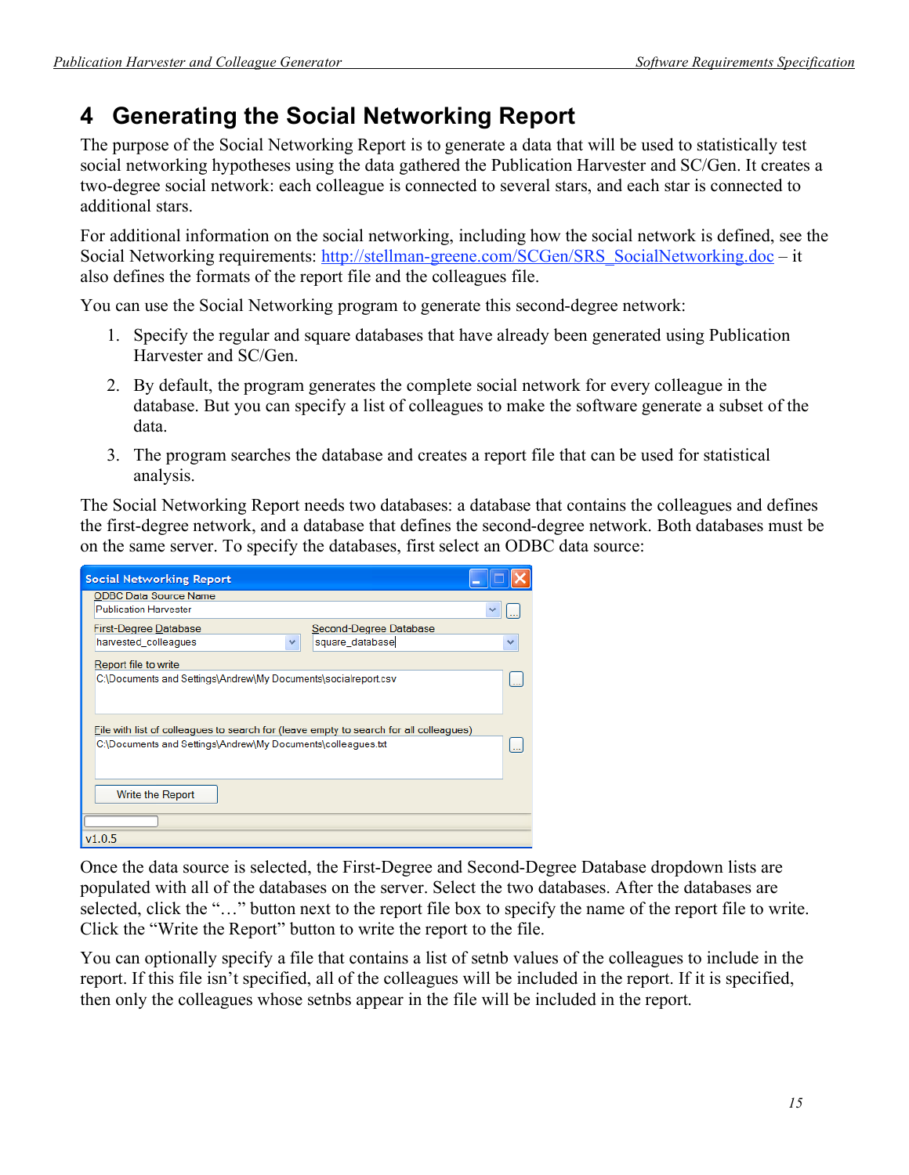# **4 Generating the Social Networking Report**

The purpose of the Social Networking Report is to generate a data that will be used to statistically test social networking hypotheses using the data gathered the Publication Harvester and SC/Gen. It creates a two-degree social network: each colleague is connected to several stars, and each star is connected to additional stars.

For additional information on the social networking, including how the social network is defined, see the Social Networking requirements: http://stellman-greene.com/SCGen/SRS\_SocialNetworking.doc – it also defines the formats of the report file and the colleagues file.

You can use the Social Networking program to generate this second-degree network:

- 1. Specify the regular and square databases that have already been generated using Publication Harvester and SC/Gen.
- 2. By default, the program generates the complete social network for every colleague in the database. But you can specify a list of colleagues to make the software generate a subset of the data.
- 3. The program searches the database and creates a report file that can be used for statistical analysis.

The Social Networking Report needs two databases: a database that contains the colleagues and defines the first-degree network, and a database that defines the second-degree network. Both databases must be on the same server. To specify the databases, first select an ODBC data source:

| <b>Social Networking Report</b>                                                       |                        |
|---------------------------------------------------------------------------------------|------------------------|
| <b>ODBC Data Source Name</b>                                                          |                        |
| <b>Publication Harvester</b>                                                          |                        |
| <b>First-Degree Database</b>                                                          | Second-Degree Database |
| harvested_colleagues<br>$\checkmark$                                                  | square_database        |
| Report file to write                                                                  |                        |
| C:\Documents and Settings\Andrew\My Documents\socialreport.csv                        |                        |
| File with list of colleagues to search for (leave empty to search for all colleagues) |                        |
| C:\Documents and Settings\Andrew\My Documents\colleagues.txt                          |                        |
|                                                                                       |                        |
| Write the Report                                                                      |                        |
|                                                                                       |                        |
| v1.0.5                                                                                |                        |

Once the data source is selected, the First-Degree and Second-Degree Database dropdown lists are populated with all of the databases on the server. Select the two databases. After the databases are selected, click the "..." button next to the report file box to specify the name of the report file to write. Click the "Write the Report" button to write the report to the file.

You can optionally specify a file that contains a list of setnb values of the colleagues to include in the report. If this file isn't specified, all of the colleagues will be included in the report. If it is specified, then only the colleagues whose setnbs appear in the file will be included in the report.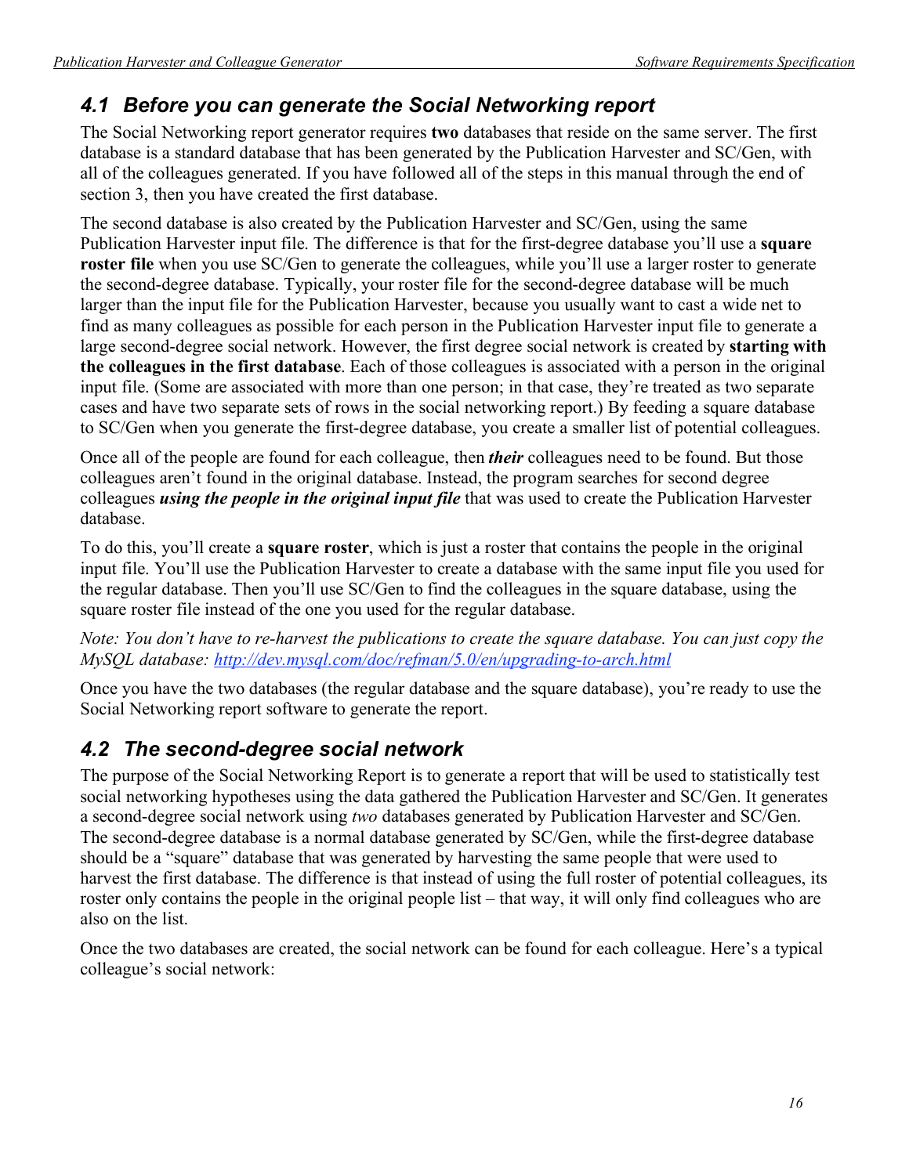## *4.1 Before you can generate the Social Networking report*

The Social Networking report generator requires **two** databases that reside on the same server. The first database is a standard database that has been generated by the Publication Harvester and SC/Gen, with all of the colleagues generated. If you have followed all of the steps in this manual through the end of section 3, then you have created the first database.

The second database is also created by the Publication Harvester and SC/Gen, using the same Publication Harvester input file. The difference is that for the first-degree database you'll use a **square roster file** when you use SC/Gen to generate the colleagues, while you'll use a larger roster to generate the second-degree database. Typically, your roster file for the second-degree database will be much larger than the input file for the Publication Harvester, because you usually want to cast a wide net to find as many colleagues as possible for each person in the Publication Harvester input file to generate a large second-degree social network. However, the first degree social network is created by **starting with the colleagues in the first database**. Each of those colleagues is associated with a person in the original input file. (Some are associated with more than one person; in that case, they're treated as two separate cases and have two separate sets of rows in the social networking report.) By feeding a square database to SC/Gen when you generate the first-degree database, you create a smaller list of potential colleagues.

Once all of the people are found for each colleague, then *their* colleagues need to be found. But those colleagues aren't found in the original database. Instead, the program searches for second degree colleagues *using the people in the original input file* that was used to create the Publication Harvester database.

To do this, you'll create a **square roster**, which is just a roster that contains the people in the original input file. You'll use the Publication Harvester to create a database with the same input file you used for the regular database. Then you'll use SC/Gen to find the colleagues in the square database, using the square roster file instead of the one you used for the regular database.

### *Note: You don't have to re-harvest the publications to create the square database. You can just copy the MySQL database: http://dev.mysql.com/doc/refman/5.0/en/upgrading-to-arch.html*

Once you have the two databases (the regular database and the square database), you're ready to use the Social Networking report software to generate the report.

## *4.2 The second-degree social network*

The purpose of the Social Networking Report is to generate a report that will be used to statistically test social networking hypotheses using the data gathered the Publication Harvester and SC/Gen. It generates a second-degree social network using *two* databases generated by Publication Harvester and SC/Gen. The second-degree database is a normal database generated by SC/Gen, while the first-degree database should be a "square" database that was generated by harvesting the same people that were used to harvest the first database. The difference is that instead of using the full roster of potential colleagues, its roster only contains the people in the original people list – that way, it will only find colleagues who are also on the list.

Once the two databases are created, the social network can be found for each colleague. Here's a typical colleague's social network: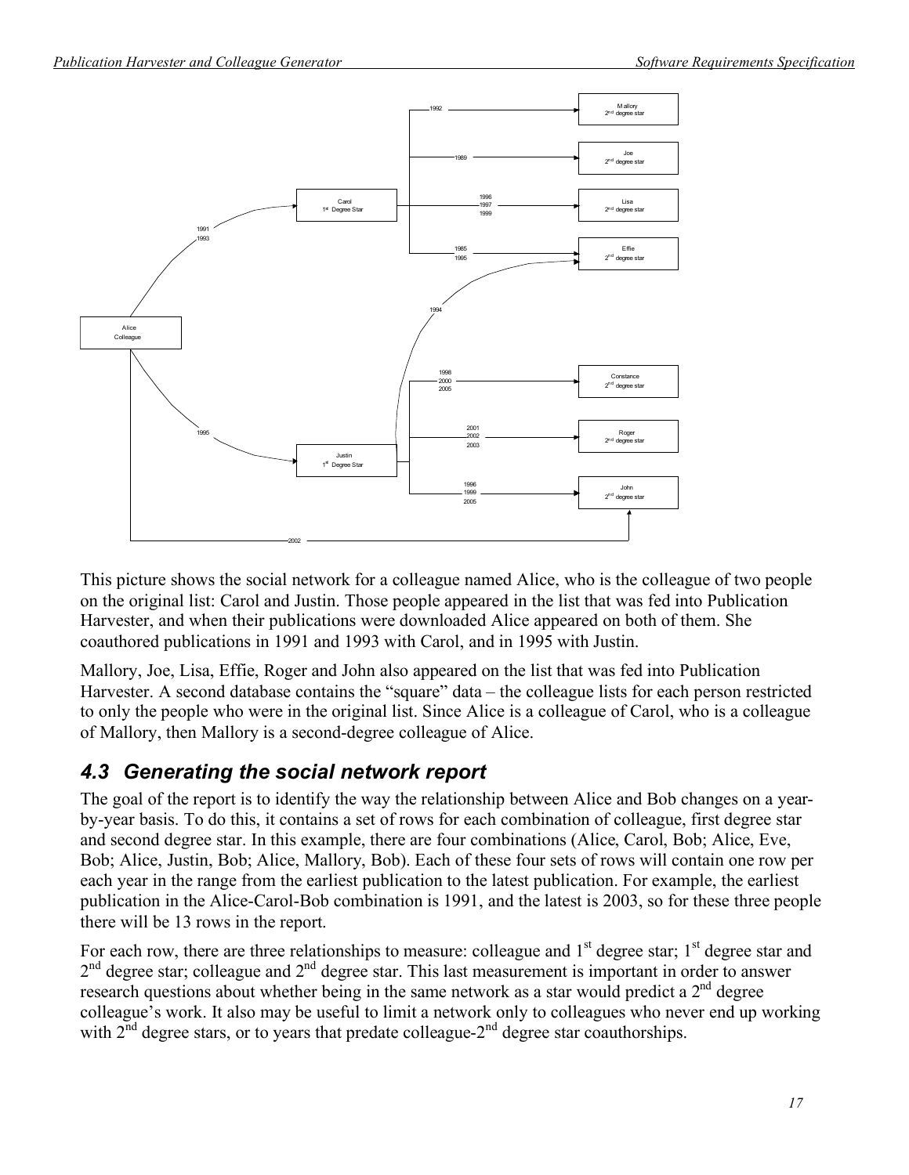

This picture shows the social network for a colleague named Alice, who is the colleague of two people on the original list: Carol and Justin. Those people appeared in the list that was fed into Publication Harvester, and when their publications were downloaded Alice appeared on both of them. She coauthored publications in 1991 and 1993 with Carol, and in 1995 with Justin.

Mallory, Joe, Lisa, Effie, Roger and John also appeared on the list that was fed into Publication Harvester. A second database contains the "square" data – the colleague lists for each person restricted to only the people who were in the original list. Since Alice is a colleague of Carol, who is a colleague of Mallory, then Mallory is a second-degree colleague of Alice.

### *4.3 Generating the social network report*

The goal of the report is to identify the way the relationship between Alice and Bob changes on a yearby-year basis. To do this, it contains a set of rows for each combination of colleague, first degree star and second degree star. In this example, there are four combinations (Alice, Carol, Bob; Alice, Eve, Bob; Alice, Justin, Bob; Alice, Mallory, Bob). Each of these four sets of rows will contain one row per each year in the range from the earliest publication to the latest publication. For example, the earliest publication in the Alice-Carol-Bob combination is 1991, and the latest is 2003, so for these three people there will be 13 rows in the report.

For each row, there are three relationships to measure: colleague and  $1<sup>st</sup>$  degree star;  $1<sup>st</sup>$  degree star and  $2<sup>nd</sup>$  degree star; colleague and  $2<sup>nd</sup>$  degree star. This last measurement is important in order to answer research questions about whether being in the same network as a star would predict a 2<sup>nd</sup> degree colleague's work. It also may be useful to limit a network only to colleagues who never end up working with  $2<sup>nd</sup>$  degree stars, or to years that predate colleague- $2<sup>nd</sup>$  degree star coauthorships.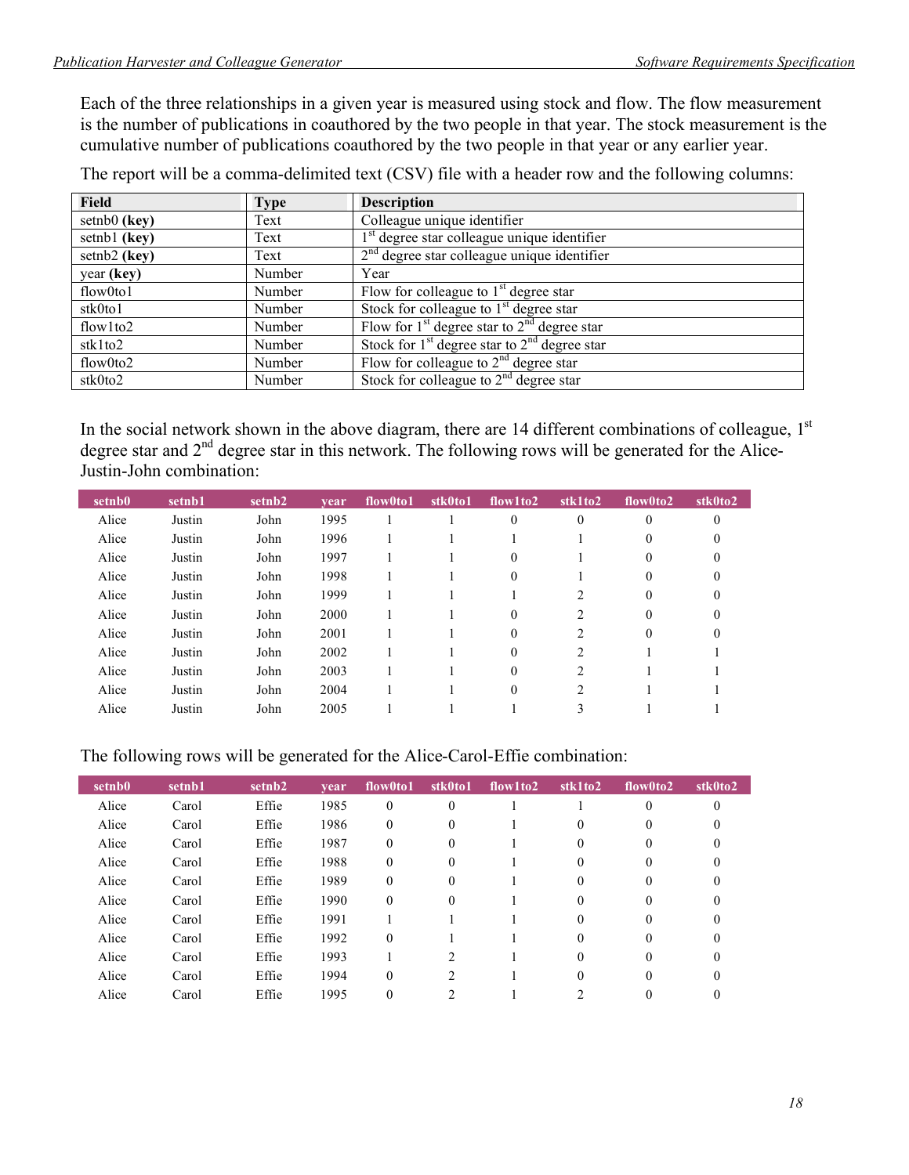Each of the three relationships in a given year is measured using stock and flow. The flow measurement is the number of publications in coauthored by the two people in that year. The stock measurement is the cumulative number of publications coauthored by the two people in that year or any earlier year.

The report will be a comma-delimited text (CSV) file with a header row and the following columns:

| <b>Field</b>    | <b>Type</b> | <b>Description</b>                               |
|-----------------|-------------|--------------------------------------------------|
| $setnb0$ (key)  | Text        | Colleague unique identifier                      |
| setnb1 (key)    | Text        | $1st$ degree star colleague unique identifier    |
| setnb2 (key)    | Text        | $2nd$ degree star colleague unique identifier    |
| year (key)      | Number      | Year                                             |
| flow0to1        | Number      | Flow for colleague to $1st$ degree star          |
| stk0to1         | Number      | Stock for colleague to $1st$ degree star         |
| flow $1$ to $2$ | Number      | Flow for $1st$ degree star to $2nd$ degree star  |
| stk1to2         | Number      | Stock for $1st$ degree star to $2nd$ degree star |
| flow0to2        | Number      | Flow for colleague to $2nd$ degree star          |
| stk0to2         | Number      | Stock for colleague to $2nd$ degree star         |

In the social network shown in the above diagram, there are 14 different combinations of colleague,  $1<sup>st</sup>$ degree star and 2<sup>nd</sup> degree star in this network. The following rows will be generated for the Alice-Justin-John combination:

| setnb0 | setnb1 | setnb <sub>2</sub> | vear | flow0to1 | stk0to1 | flow1 to2 | stk1to2        | flow0to2 | stk0to2  |
|--------|--------|--------------------|------|----------|---------|-----------|----------------|----------|----------|
| Alice  | Justin | John               | 1995 |          |         | $\theta$  | 0              | 0        | $\Omega$ |
| Alice  | Justin | John               | 1996 |          |         |           |                | $^{(1)}$ | 0        |
| Alice  | Justin | John               | 1997 |          |         | 0         |                | $_{0}$   | 0        |
| Alice  | Justin | John               | 1998 |          |         | $\theta$  |                | $_{0}$   | 0        |
| Alice  | Justin | John               | 1999 |          |         |           | 2              | 0        | 0        |
| Alice  | Justin | John               | 2000 |          |         | $\theta$  | $\overline{c}$ | 0        | 0        |
| Alice  | Justin | John               | 2001 |          |         | $\theta$  | $\overline{2}$ | 0        | 0        |
| Alice  | Justin | John               | 2002 |          |         | $\theta$  | $\overline{c}$ |          |          |
| Alice  | Justin | John               | 2003 |          |         | $\Omega$  | $\overline{c}$ |          |          |
| Alice  | Justin | John               | 2004 |          |         | $\Omega$  | $\overline{c}$ |          |          |
| Alice  | Justin | John               | 2005 |          |         |           |                |          |          |

### The following rows will be generated for the Alice-Carol-Effie combination:

| setnb0 | setnb1 | setnb2 | vear | flow0to1         | stk0to1        | flow1to2 | stk1to2  | flow0to2 | stk0to2  |
|--------|--------|--------|------|------------------|----------------|----------|----------|----------|----------|
| Alice  | Carol  | Effie  | 1985 | $\theta$         | $\theta$       |          |          | $\Omega$ | 0        |
| Alice  | Carol  | Effie  | 1986 | $\mathbf{0}$     | $\theta$       |          | $\theta$ | $\theta$ | 0        |
| Alice  | Carol  | Effie  | 1987 | $\Omega$         | $\Omega$       |          | 0        | $\Omega$ | 0        |
| Alice  | Carol  | Effie  | 1988 | $\mathbf{0}$     | $\Omega$       |          | 0        |          | 0        |
| Alice  | Carol  | Effie  | 1989 | $\mathbf{0}$     | $\theta$       |          | 0        | 0        | 0        |
| Alice  | Carol  | Effie  | 1990 | $\boldsymbol{0}$ | $\theta$       |          | 0        | 0        | 0        |
| Alice  | Carol  | Effie  | 1991 |                  |                |          | 0        | $\theta$ | 0        |
| Alice  | Carol  | Effie  | 1992 | $\theta$         |                |          | 0        | $\Omega$ | 0        |
| Alice  | Carol  | Effie  | 1993 |                  | $\mathfrak{D}$ |          | 0        | $\Omega$ | 0        |
| Alice  | Carol  | Effie  | 1994 | $\Omega$         | $\mathcal{L}$  |          | 0        | $\Omega$ | $\Omega$ |
| Alice  | Carol  | Effie  | 1995 | $\boldsymbol{0}$ | ↑              |          |          |          |          |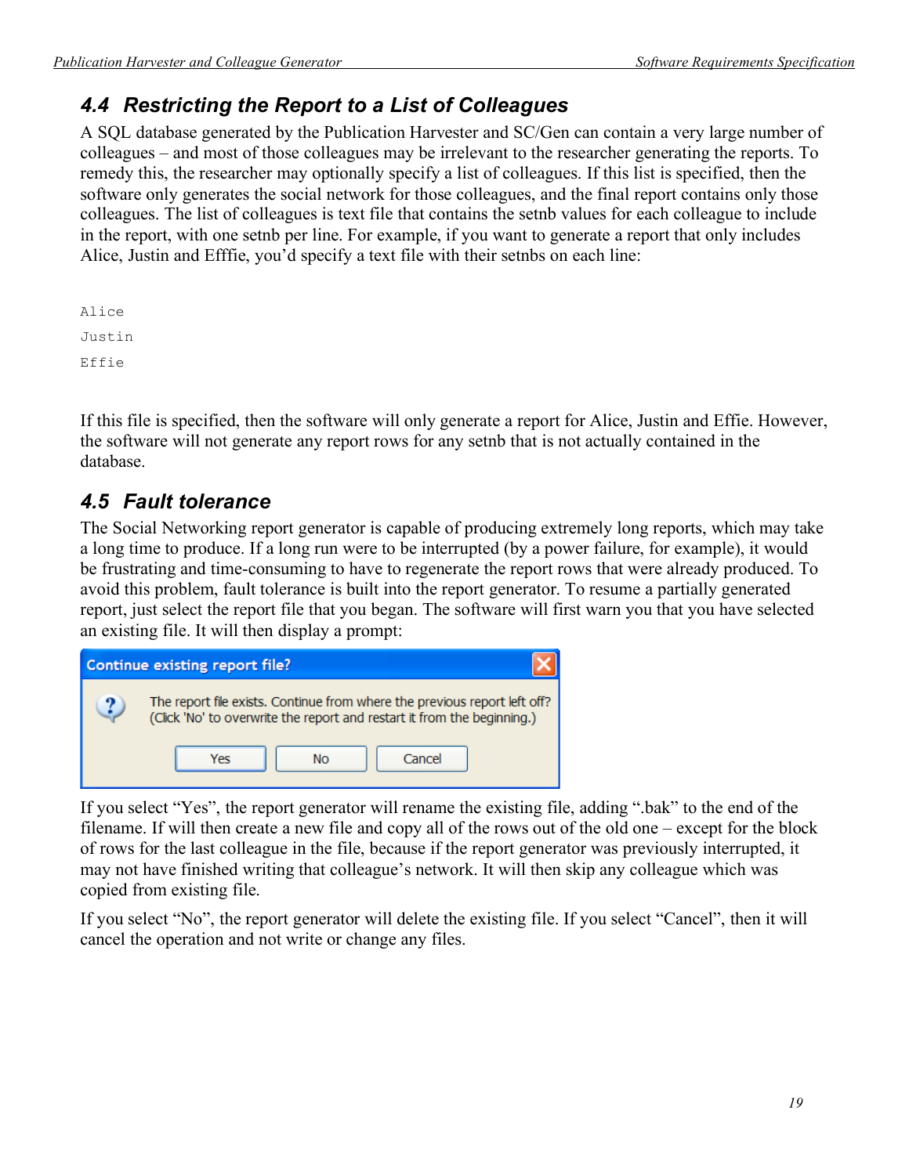## *4.4 Restricting the Report to a List of Colleagues*

A SQL database generated by the Publication Harvester and SC/Gen can contain a very large number of colleagues – and most of those colleagues may be irrelevant to the researcher generating the reports. To remedy this, the researcher may optionally specify a list of colleagues. If this list is specified, then the software only generates the social network for those colleagues, and the final report contains only those colleagues. The list of colleagues is text file that contains the setnb values for each colleague to include in the report, with one setnb per line. For example, if you want to generate a report that only includes Alice, Justin and Efffie, you'd specify a text file with their setnbs on each line:

Alice Justin Effie

If this file is specified, then the software will only generate a report for Alice, Justin and Effie. However, the software will not generate any report rows for any setnb that is not actually contained in the database.

## *4.5 Fault tolerance*

The Social Networking report generator is capable of producing extremely long reports, which may take a long time to produce. If a long run were to be interrupted (by a power failure, for example), it would be frustrating and time-consuming to have to regenerate the report rows that were already produced. To avoid this problem, fault tolerance is built into the report generator. To resume a partially generated report, just select the report file that you began. The software will first warn you that you have selected an existing file. It will then display a prompt:



If you select "Yes", the report generator will rename the existing file, adding ".bak" to the end of the filename. If will then create a new file and copy all of the rows out of the old one – except for the block of rows for the last colleague in the file, because if the report generator was previously interrupted, it may not have finished writing that colleague's network. It will then skip any colleague which was copied from existing file.

If you select "No", the report generator will delete the existing file. If you select "Cancel", then it will cancel the operation and not write or change any files.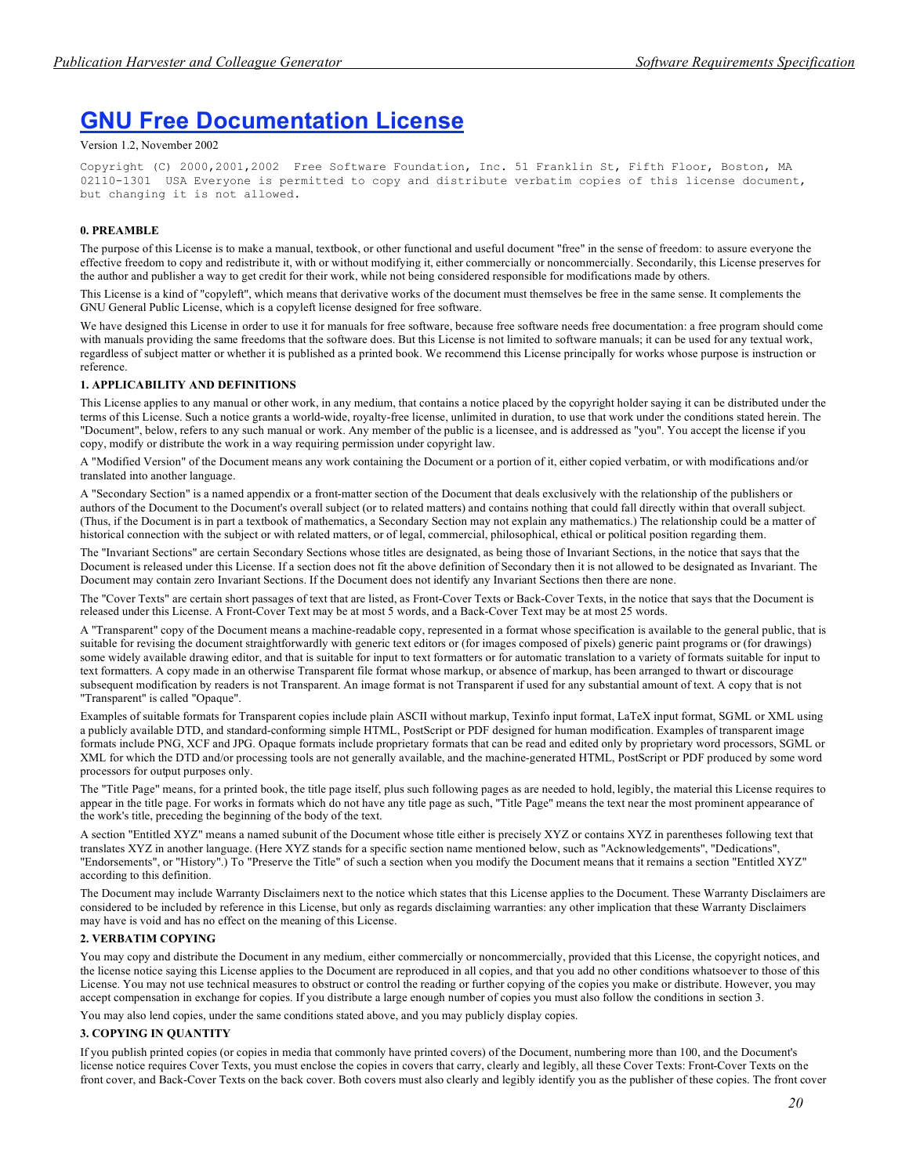## **GNU Free Documentation License**

#### Version 1.2, November 2002

Copyright (C) 2000,2001,2002 Free Software Foundation, Inc. 51 Franklin St, Fifth Floor, Boston, MA 02110-1301 USA Everyone is permitted to copy and distribute verbatim copies of this license document, but changing it is not allowed.

### **0. PREAMBLE**

The purpose of this License is to make a manual, textbook, or other functional and useful document "free" in the sense of freedom: to assure everyone the effective freedom to copy and redistribute it, with or without modifying it, either commercially or noncommercially. Secondarily, this License preserves for the author and publisher a way to get credit for their work, while not being considered responsible for modifications made by others.

This License is a kind of "copyleft", which means that derivative works of the document must themselves be free in the same sense. It complements the GNU General Public License, which is a copyleft license designed for free software.

We have designed this License in order to use it for manuals for free software, because free software needs free documentation: a free program should come with manuals providing the same freedoms that the software does. But this License is not limited to software manuals; it can be used for any textual work, regardless of subject matter or whether it is published as a printed book. We recommend this License principally for works whose purpose is instruction or reference.

#### **1. APPLICABILITY AND DEFINITIONS**

This License applies to any manual or other work, in any medium, that contains a notice placed by the copyright holder saying it can be distributed under the terms of this License. Such a notice grants a world-wide, royalty-free license, unlimited in duration, to use that work under the conditions stated herein. The "Document", below, refers to any such manual or work. Any member of the public is a licensee, and is addressed as "you". You accept the license if you copy, modify or distribute the work in a way requiring permission under copyright law.

A "Modified Version" of the Document means any work containing the Document or a portion of it, either copied verbatim, or with modifications and/or translated into another language.

A "Secondary Section" is a named appendix or a front-matter section of the Document that deals exclusively with the relationship of the publishers or authors of the Document to the Document's overall subject (or to related matters) and contains nothing that could fall directly within that overall subject. (Thus, if the Document is in part a textbook of mathematics, a Secondary Section may not explain any mathematics.) The relationship could be a matter of historical connection with the subject or with related matters, or of legal, commercial, philosophical, ethical or political position regarding them.

The "Invariant Sections" are certain Secondary Sections whose titles are designated, as being those of Invariant Sections, in the notice that says that the Document is released under this License. If a section does not fit the above definition of Secondary then it is not allowed to be designated as Invariant. The Document may contain zero Invariant Sections. If the Document does not identify any Invariant Sections then there are none.

The "Cover Texts" are certain short passages of text that are listed, as Front-Cover Texts or Back-Cover Texts, in the notice that says that the Document is released under this License. A Front-Cover Text may be at most 5 words, and a Back-Cover Text may be at most 25 words.

A "Transparent" copy of the Document means a machine-readable copy, represented in a format whose specification is available to the general public, that is suitable for revising the document straightforwardly with generic text editors or (for images composed of pixels) generic paint programs or (for drawings) some widely available drawing editor, and that is suitable for input to text formatters or for automatic translation to a variety of formats suitable for input to text formatters. A copy made in an otherwise Transparent file format whose markup, or absence of markup, has been arranged to thwart or discourage subsequent modification by readers is not Transparent. An image format is not Transparent if used for any substantial amount of text. A copy that is not "Transparent" is called "Opaque".

Examples of suitable formats for Transparent copies include plain ASCII without markup, Texinfo input format, LaTeX input format, SGML or XML using a publicly available DTD, and standard-conforming simple HTML, PostScript or PDF designed for human modification. Examples of transparent image formats include PNG, XCF and JPG. Opaque formats include proprietary formats that can be read and edited only by proprietary word processors, SGML or XML for which the DTD and/or processing tools are not generally available, and the machine-generated HTML, PostScript or PDF produced by some word processors for output purposes only.

The "Title Page" means, for a printed book, the title page itself, plus such following pages as are needed to hold, legibly, the material this License requires to appear in the title page. For works in formats which do not have any title page as such, "Title Page" means the text near the most prominent appearance of the work's title, preceding the beginning of the body of the text.

A section "Entitled XYZ" means a named subunit of the Document whose title either is precisely XYZ or contains XYZ in parentheses following text that translates XYZ in another language. (Here XYZ stands for a specific section name mentioned below, such as "Acknowledgements", "Dedications", "Endorsements", or "History".) To "Preserve the Title" of such a section when you modify the Document means that it remains a section "Entitled XYZ" according to this definition.

The Document may include Warranty Disclaimers next to the notice which states that this License applies to the Document. These Warranty Disclaimers are considered to be included by reference in this License, but only as regards disclaiming warranties: any other implication that these Warranty Disclaimers may have is void and has no effect on the meaning of this License.

### **2. VERBATIM COPYING**

You may copy and distribute the Document in any medium, either commercially or noncommercially, provided that this License, the copyright notices, and the license notice saying this License applies to the Document are reproduced in all copies, and that you add no other conditions whatsoever to those of this License. You may not use technical measures to obstruct or control the reading or further copying of the copies you make or distribute. However, you may accept compensation in exchange for copies. If you distribute a large enough number of copies you must also follow the conditions in section 3.

You may also lend copies, under the same conditions stated above, and you may publicly display copies.

### **3. COPYING IN QUANTITY**

If you publish printed copies (or copies in media that commonly have printed covers) of the Document, numbering more than 100, and the Document's license notice requires Cover Texts, you must enclose the copies in covers that carry, clearly and legibly, all these Cover Texts: Front-Cover Texts on the front cover, and Back-Cover Texts on the back cover. Both covers must also clearly and legibly identify you as the publisher of these copies. The front cover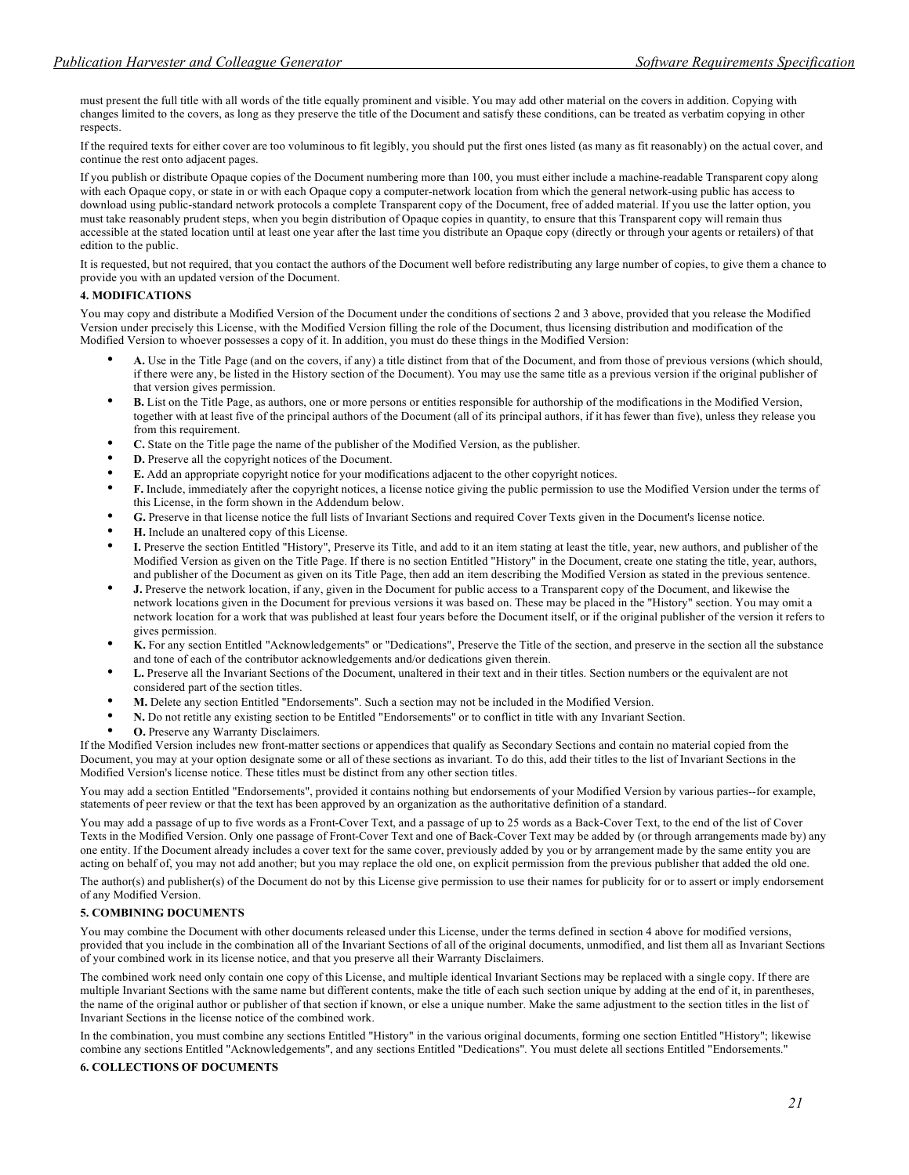must present the full title with all words of the title equally prominent and visible. You may add other material on the covers in addition. Copying with changes limited to the covers, as long as they preserve the title of the Document and satisfy these conditions, can be treated as verbatim copying in other respects.

If the required texts for either cover are too voluminous to fit legibly, you should put the first ones listed (as many as fit reasonably) on the actual cover, and continue the rest onto adjacent pages.

If you publish or distribute Opaque copies of the Document numbering more than 100, you must either include a machine-readable Transparent copy along with each Opaque copy, or state in or with each Opaque copy a computer-network location from which the general network-using public has access to download using public-standard network protocols a complete Transparent copy of the Document, free of added material. If you use the latter option, you must take reasonably prudent steps, when you begin distribution of Opaque copies in quantity, to ensure that this Transparent copy will remain thus accessible at the stated location until at least one year after the last time you distribute an Opaque copy (directly or through your agents or retailers) of that edition to the public.

It is requested, but not required, that you contact the authors of the Document well before redistributing any large number of copies, to give them a chance to provide you with an updated version of the Document.

### **4. MODIFICATIONS**

You may copy and distribute a Modified Version of the Document under the conditions of sections 2 and 3 above, provided that you release the Modified Version under precisely this License, with the Modified Version filling the role of the Document, thus licensing distribution and modification of the Modified Version to whoever possesses a copy of it. In addition, you must do these things in the Modified Version:

- **A.** Use in the Title Page (and on the covers, if any) a title distinct from that of the Document, and from those of previous versions (which should, if there were any, be listed in the History section of the Document). You may use the same title as a previous version if the original publisher of that version gives permission.
- **B.** List on the Title Page, as authors, one or more persons or entities responsible for authorship of the modifications in the Modified Version, together with at least five of the principal authors of the Document (all of its principal authors, if it has fewer than five), unless they release you from this requirement.
- **C.** State on the Title page the name of the publisher of the Modified Version, as the publisher.
- **D.** Preserve all the copyright notices of the Document.
- **E.** Add an appropriate copyright notice for your modifications adjacent to the other copyright notices.
- **F.** Include, immediately after the copyright notices, a license notice giving the public permission to use the Modified Version under the terms of this License, in the form shown in the Addendum below.
- **G.** Preserve in that license notice the full lists of Invariant Sections and required Cover Texts given in the Document's license notice.
- **H.** Include an unaltered copy of this License.
- **I.** Preserve the section Entitled "History", Preserve its Title, and add to it an item stating at least the title, year, new authors, and publisher of the Modified Version as given on the Title Page. If there is no section Entitled "History" in the Document, create one stating the title, year, authors, and publisher of the Document as given on its Title Page, then add an item describing the Modified Version as stated in the previous sentence.
- **J.** Preserve the network location, if any, given in the Document for public access to a Transparent copy of the Document, and likewise the network locations given in the Document for previous versions it was based on. These may be placed in the "History" section. You may omit a network location for a work that was published at least four years before the Document itself, or if the original publisher of the version it refers to gives permission.
- **K.** For any section Entitled "Acknowledgements" or "Dedications", Preserve the Title of the section, and preserve in the section all the substance and tone of each of the contributor acknowledgements and/or dedications given therein.
- **L.** Preserve all the Invariant Sections of the Document, unaltered in their text and in their titles. Section numbers or the equivalent are not considered part of the section titles.
- **M.** Delete any section Entitled "Endorsements". Such a section may not be included in the Modified Version.
- **N.** Do not retitle any existing section to be Entitled "Endorsements" or to conflict in title with any Invariant Section.
- **O.** Preserve any Warranty Disclaimers.

If the Modified Version includes new front-matter sections or appendices that qualify as Secondary Sections and contain no material copied from the Document, you may at your option designate some or all of these sections as invariant. To do this, add their titles to the list of Invariant Sections in the Modified Version's license notice. These titles must be distinct from any other section titles.

You may add a section Entitled "Endorsements", provided it contains nothing but endorsements of your Modified Version by various parties--for example, statements of peer review or that the text has been approved by an organization as the authoritative definition of a standard.

You may add a passage of up to five words as a Front-Cover Text, and a passage of up to 25 words as a Back-Cover Text, to the end of the list of Cover Texts in the Modified Version. Only one passage of Front-Cover Text and one of Back-Cover Text may be added by (or through arrangements made by) any one entity. If the Document already includes a cover text for the same cover, previously added by you or by arrangement made by the same entity you are acting on behalf of, you may not add another; but you may replace the old one, on explicit permission from the previous publisher that added the old one.

The author(s) and publisher(s) of the Document do not by this License give permission to use their names for publicity for or to assert or imply endorsement of any Modified Version.

### **5. COMBINING DOCUMENTS**

You may combine the Document with other documents released under this License, under the terms defined in section 4 above for modified versions, provided that you include in the combination all of the Invariant Sections of all of the original documents, unmodified, and list them all as Invariant Sections of your combined work in its license notice, and that you preserve all their Warranty Disclaimers.

The combined work need only contain one copy of this License, and multiple identical Invariant Sections may be replaced with a single copy. If there are multiple Invariant Sections with the same name but different contents, make the title of each such section unique by adding at the end of it, in parentheses, the name of the original author or publisher of that section if known, or else a unique number. Make the same adjustment to the section titles in the list of Invariant Sections in the license notice of the combined work.

In the combination, you must combine any sections Entitled "History" in the various original documents, forming one section Entitled "History"; likewise combine any sections Entitled "Acknowledgements", and any sections Entitled "Dedications". You must delete all sections Entitled "Endorsements."

### **6. COLLECTIONS OF DOCUMENTS**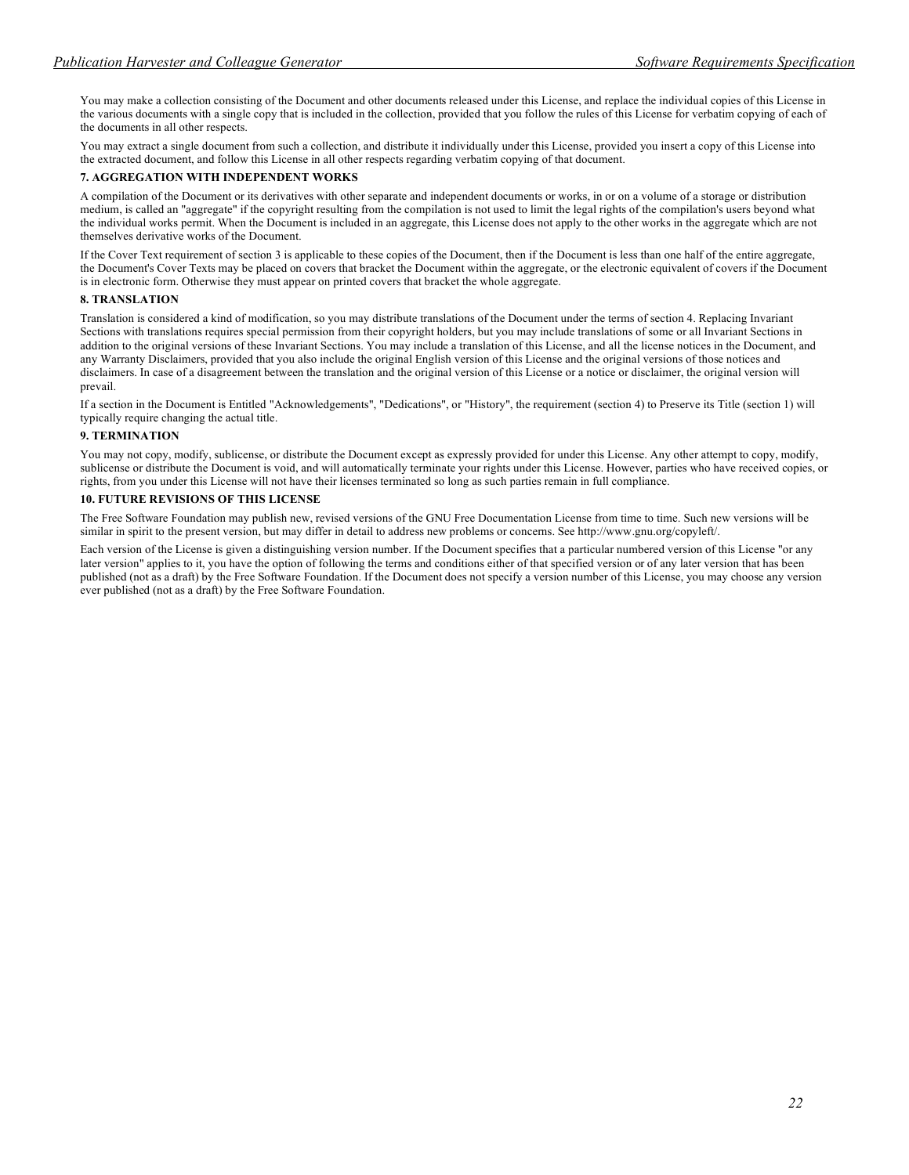You may make a collection consisting of the Document and other documents released under this License, and replace the individual copies of this License in the various documents with a single copy that is included in the collection, provided that you follow the rules of this License for verbatim copying of each of the documents in all other respects.

You may extract a single document from such a collection, and distribute it individually under this License, provided you insert a copy of this License into the extracted document, and follow this License in all other respects regarding verbatim copying of that document.

### **7. AGGREGATION WITH INDEPENDENT WORKS**

A compilation of the Document or its derivatives with other separate and independent documents or works, in or on a volume of a storage or distribution medium, is called an "aggregate" if the copyright resulting from the compilation is not used to limit the legal rights of the compilation's users beyond what the individual works permit. When the Document is included in an aggregate, this License does not apply to the other works in the aggregate which are not themselves derivative works of the Document.

If the Cover Text requirement of section 3 is applicable to these copies of the Document, then if the Document is less than one half of the entire aggregate, the Document's Cover Texts may be placed on covers that bracket the Document within the aggregate, or the electronic equivalent of covers if the Document is in electronic form. Otherwise they must appear on printed covers that bracket the whole aggregate.

#### **8. TRANSLATION**

Translation is considered a kind of modification, so you may distribute translations of the Document under the terms of section 4. Replacing Invariant Sections with translations requires special permission from their copyright holders, but you may include translations of some or all Invariant Sections in addition to the original versions of these Invariant Sections. You may include a translation of this License, and all the license notices in the Document, and any Warranty Disclaimers, provided that you also include the original English version of this License and the original versions of those notices and disclaimers. In case of a disagreement between the translation and the original version of this License or a notice or disclaimer, the original version will prevail.

If a section in the Document is Entitled "Acknowledgements", "Dedications", or "History", the requirement (section 4) to Preserve its Title (section 1) will typically require changing the actual title.

#### **9. TERMINATION**

You may not copy, modify, sublicense, or distribute the Document except as expressly provided for under this License. Any other attempt to copy, modify, sublicense or distribute the Document is void, and will automatically terminate your rights under this License. However, parties who have received copies, or rights, from you under this License will not have their licenses terminated so long as such parties remain in full compliance.

### **10. FUTURE REVISIONS OF THIS LICENSE**

The Free Software Foundation may publish new, revised versions of the GNU Free Documentation License from time to time. Such new versions will be similar in spirit to the present version, but may differ in detail to address new problems or concerns. See http://www.gnu.org/copyleft/.

Each version of the License is given a distinguishing version number. If the Document specifies that a particular numbered version of this License "or any later version" applies to it, you have the option of following the terms and conditions either of that specified version or of any later version that has been published (not as a draft) by the Free Software Foundation. If the Document does not specify a version number of this License, you may choose any version ever published (not as a draft) by the Free Software Foundation.